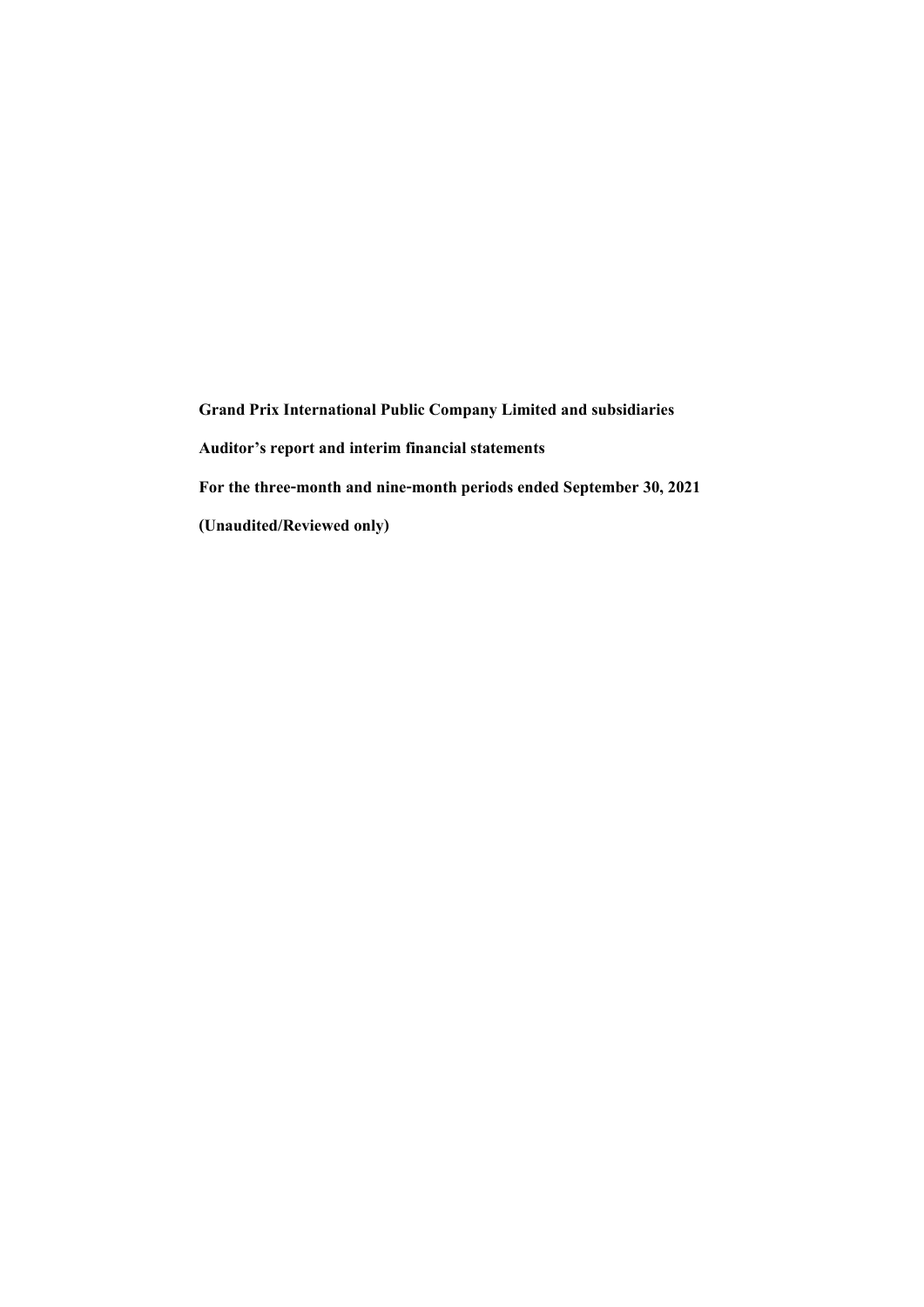**Grand Prix International Public Company Limited and subsidiaries Auditor's report and interim financial statements** For the three-month and nine-month periods ended September 30, 2021 **(Unaudited/Reviewed only)**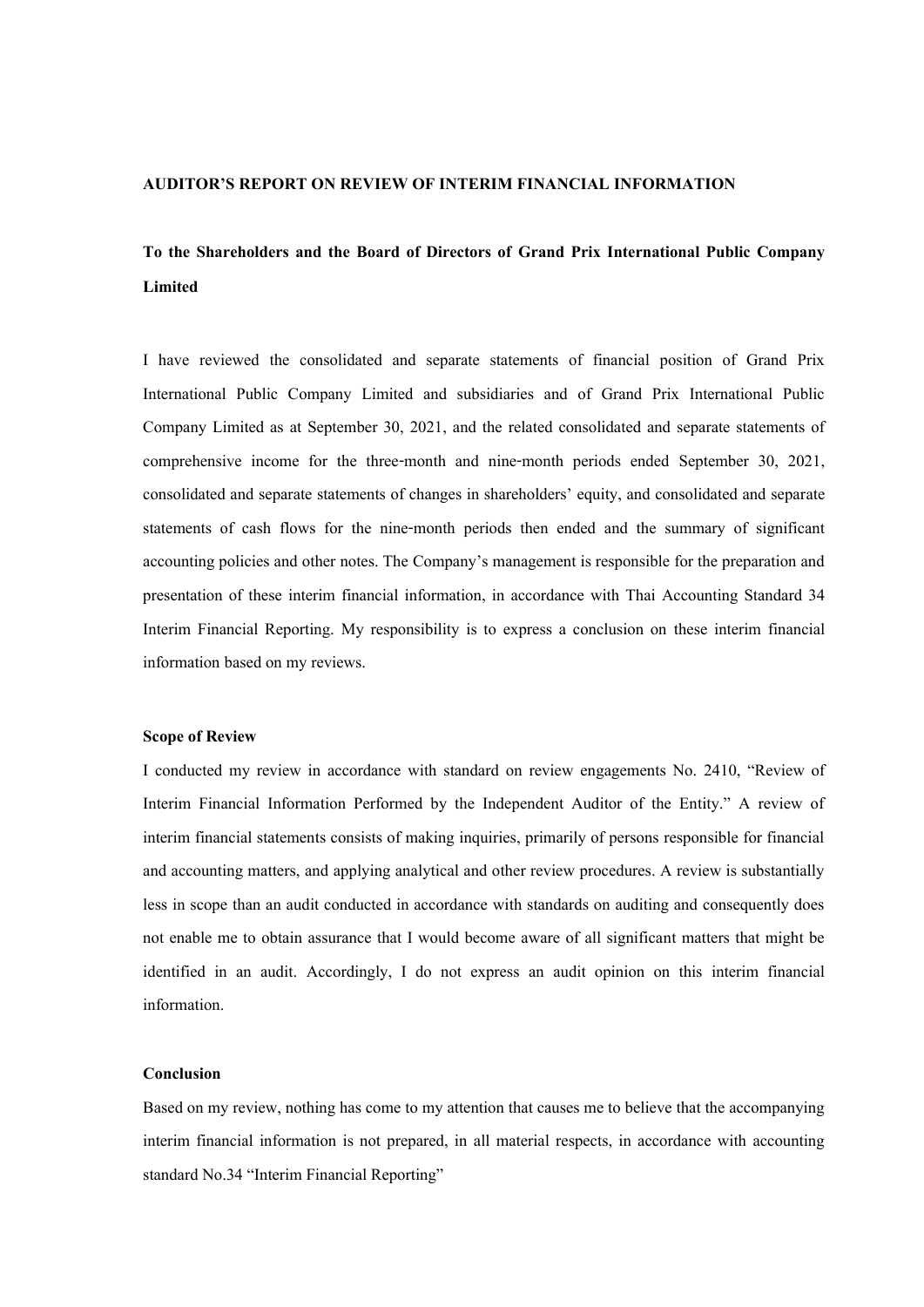### **AUDITOR'S REPORT ON REVIEW OF INTERIM FINANCIAL INFORMATION**

# **To the Shareholders and the Board of Directors of Grand Prix International Public Company Limited**

I have reviewed the consolidated and separate statements of financial position of Grand Prix International Public Company Limited and subsidiaries and of Grand Prix International Public Company Limited as at September 30, 2021, and the related consolidated and separate statements of comprehensive income for the three-month and nine-month periods ended September 30, 2021, consolidated and separate statements of changes in shareholders' equity, and consolidated and separate statements of cash flows for the nine-month periods then ended and the summary of significant accounting policies and other notes. The Company's management is responsible for the preparation and presentation of these interim financial information, in accordance with Thai Accounting Standard 34 Interim Financial Reporting. My responsibility is to express a conclusion on these interim financial information based on my reviews.

#### **Scope of Review**

I conducted my review in accordance with standard on review engagements No. 2410, "Review of Interim Financial Information Performed by the Independent Auditor of the Entity." A review of interim financial statements consists of making inquiries, primarily of persons responsible for financial and accounting matters, and applying analytical and other review procedures. A review is substantially less in scope than an audit conducted in accordance with standards on auditing and consequently does not enable me to obtain assurance that I would become aware of all significant matters that might be identified in an audit. Accordingly, I do not express an audit opinion on this interim financial information.

### **Conclusion**

Based on my review, nothing has come to my attention that causes me to believe that the accompanying interim financial information is not prepared, in all material respects, in accordance with accounting standard No.34 "Interim Financial Reporting"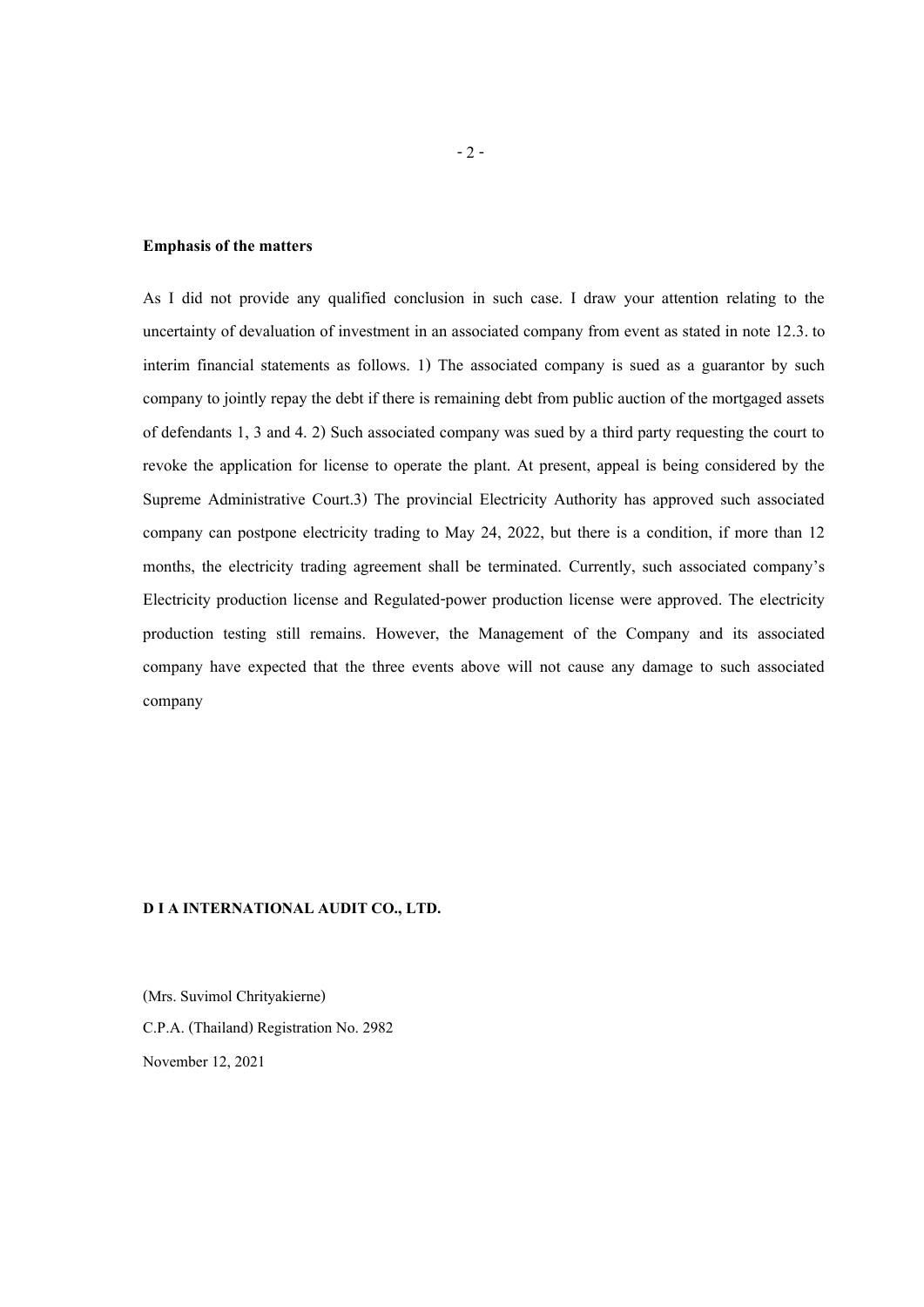### **Emphasis of the matters**

As I did not provide any qualified conclusion in such case. I draw your attention relating to the uncertainty of devaluation of investment in an associated company from event as stated in note 12.3. to interim financial statements as follows. 1) The associated company is sued as a guarantor by such company to jointly repay the debt if there is remaining debt from public auction of the mortgaged assets of defendants 1, 3 and 4. 2) Such associated company was sued by a third party requesting the court to revoke the application for license to operate the plant. At present, appeal is being considered by the Supreme Administrative Court.3) The provincial Electricity Authority has approved such associated company can postpone electricity trading to May 24, 2022, but there is a condition, if more than 12 months, the electricity trading agreement shall be terminated. Currently, such associated company's Electricity production license and Regulated-power production license were approved. The electricity production testing still remains. However, the Management of the Company and its associated company have expected that the three events above will not cause any damage to such associated company

### **D I A INTERNATIONAL AUDIT CO., LTD.**

(Mrs. Suvimol Chrityakierne) C.P.A. (Thailand) Registration No. 2982 November 12, 2021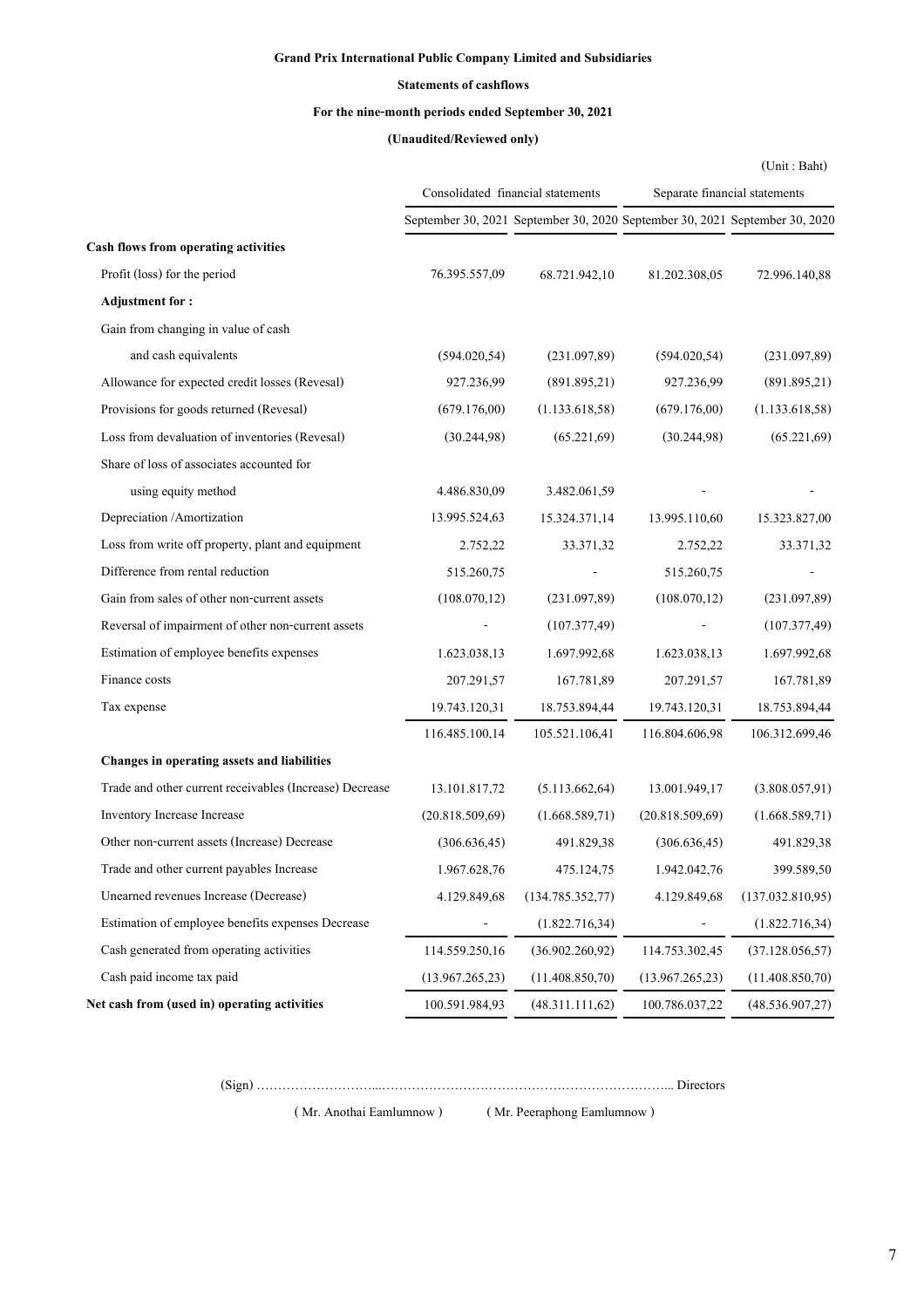## **Grand Prix International Public Company Limited and Subsidiaries**

### **Statements of cashflows**

## **For the nine-month periods ended September 30, 2021**

## **(Unaudited/Reviewed only)**

|                                                         |                 |                                                                             |                 | (Unit: Baht)                  |
|---------------------------------------------------------|-----------------|-----------------------------------------------------------------------------|-----------------|-------------------------------|
|                                                         |                 | Consolidated financial statements                                           |                 | Separate financial statements |
|                                                         |                 | September 30, 2021 September 30, 2020 September 30, 2021 September 30, 2020 |                 |                               |
| Cash flows from operating activities                    |                 |                                                                             |                 |                               |
| Profit (loss) for the period                            | 76.395.557,09   | 68.721.942,10                                                               | 81.202.308,05   | 72.996.140,88                 |
| <b>Adjustment for:</b>                                  |                 |                                                                             |                 |                               |
| Gain from changing in value of cash                     |                 |                                                                             |                 |                               |
| and cash equivalents                                    | (594.020, 54)   | (231.097,89)                                                                | (594.020, 54)   | (231.097,89)                  |
| Allowance for expected credit losses (Revesal)          | 927.236,99      | (891.895,21)                                                                | 927.236,99      | (891.895,21)                  |
| Provisions for goods returned (Revesal)                 | (679.176,00)    | (1.133.618,58)                                                              | (679.176,00)    | (1.133.618,58)                |
| Loss from devaluation of inventories (Revesal)          | (30.244, 98)    | (65.221,69)                                                                 | (30.244, 98)    | (65.221,69)                   |
| Share of loss of associates accounted for               |                 |                                                                             |                 |                               |
| using equity method                                     | 4.486.830,09    | 3.482.061,59                                                                |                 |                               |
| Depreciation /Amortization                              | 13.995.524,63   | 15.324.371,14                                                               | 13.995.110,60   | 15.323.827,00                 |
| Loss from write off property, plant and equipment       | 2.752,22        | 33.371,32                                                                   | 2.752,22        | 33.371,32                     |
| Difference from rental reduction                        | 515.260,75      |                                                                             | 515.260,75      |                               |
| Gain from sales of other non-current assets             | (108.070, 12)   | (231.097,89)                                                                | (108.070, 12)   | (231.097,89)                  |
| Reversal of impairment of other non-current assets      |                 | (107.377,49)                                                                |                 | (107.377,49)                  |
| Estimation of employee benefits expenses                | 1.623.038,13    | 1.697.992,68                                                                | 1.623.038,13    | 1.697.992,68                  |
| Finance costs                                           | 207.291,57      | 167.781,89                                                                  | 207.291,57      | 167.781,89                    |
| Tax expense                                             | 19.743.120,31   | 18.753.894,44                                                               | 19.743.120,31   | 18.753.894,44                 |
|                                                         | 116.485.100,14  | 105.521.106,41                                                              | 116.804.606,98  | 106.312.699,46                |
| Changes in operating assets and liabilities             |                 |                                                                             |                 |                               |
| Trade and other current receivables (Increase) Decrease | 13.101.817,72   | (5.113.662, 64)                                                             | 13.001.949,17   | (3.808.057,91)                |
| Inventory Increase Increase                             | (20.818.509,69) | (1.668.589,71)                                                              | (20.818.509,69) | (1.668.589,71)                |
| Other non-current assets (Increase) Decrease            | (306.636, 45)   | 491.829,38                                                                  | (306.636, 45)   | 491.829,38                    |
| Trade and other current payables Increase               | 1.967.628,76    | 475.124,75                                                                  | 1.942.042,76    | 399.589,50                    |
| Unearned revenues Increase (Decrease)                   | 4.129.849,68    | (134.785.352,77)                                                            | 4.129.849,68    | (137.032.810,95)              |
| Estimation of employee benefits expenses Decrease       |                 | (1.822.716,34)                                                              |                 | (1.822.716,34)                |
| Cash generated from operating activities                | 114.559.250,16  | (36.902.260, 92)                                                            | 114.753.302,45  | (37.128.056,57)               |
| Cash paid income tax paid                               | (13.967.265,23) | (11.408.850,70)                                                             | (13.967.265,23) | (11.408.850,70)               |
| Net cash from (used in) operating activities            | 100.591.984,93  | (48.311.111,62)                                                             | 100.786.037,22  | (48.536.907,27)               |

(Sign) ………………………...…………………………………………………………... Directors

( Mr. Anothai Eamlumnow ) ( Mr. Peeraphong Eamlumnow )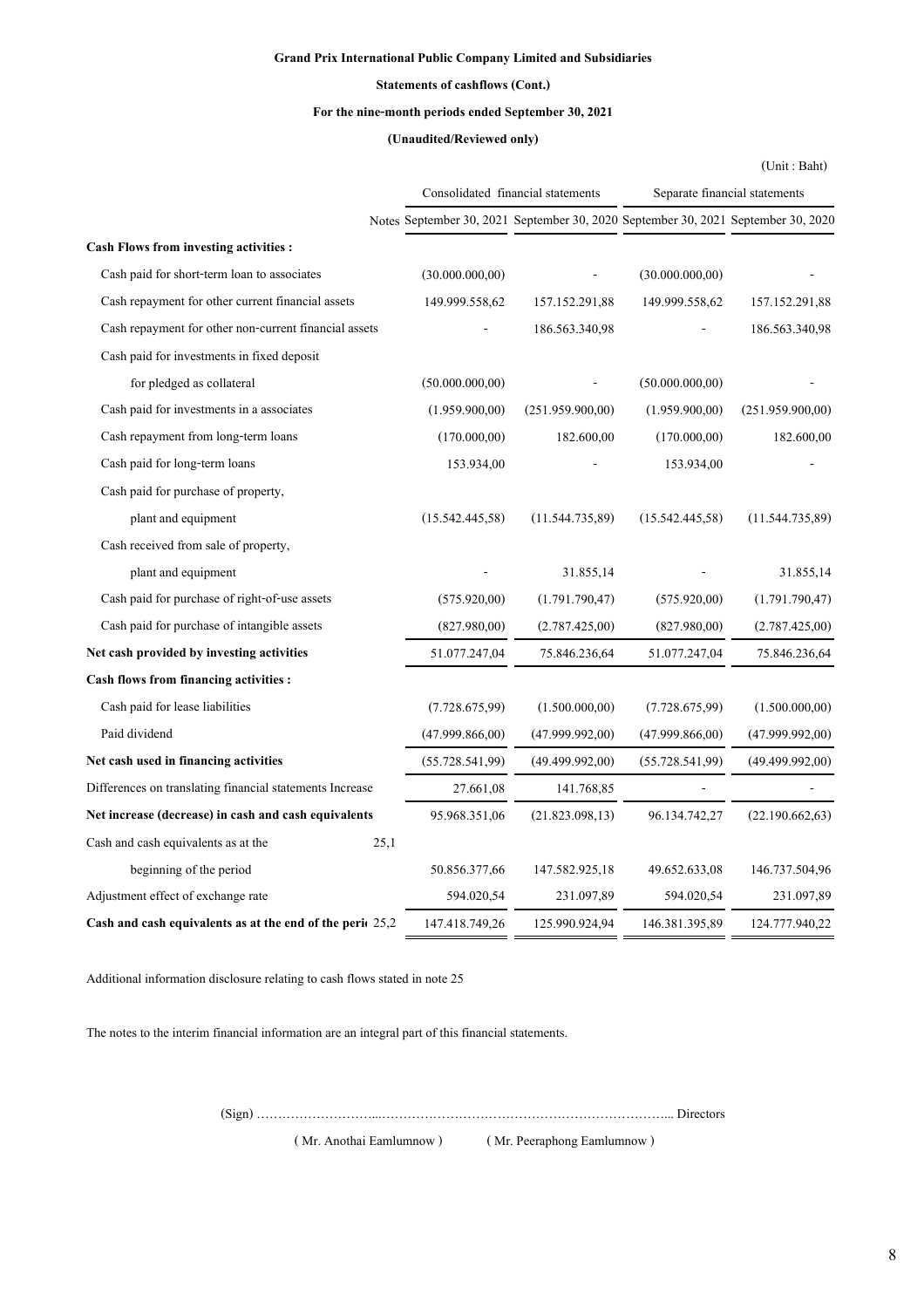## **Grand Prix International Public Company Limited and Subsidiaries**

## **Statements of cashflows (Cont.)**

## **For the nine-month periods ended September 30, 2021**

## **(Unaudited/Reviewed only)**

|                                                           |                                                                                   |                                   |                  | (Unit: Baht)                  |
|-----------------------------------------------------------|-----------------------------------------------------------------------------------|-----------------------------------|------------------|-------------------------------|
|                                                           |                                                                                   | Consolidated financial statements |                  | Separate financial statements |
|                                                           | Notes September 30, 2021 September 30, 2020 September 30, 2021 September 30, 2020 |                                   |                  |                               |
| <b>Cash Flows from investing activities :</b>             |                                                                                   |                                   |                  |                               |
| Cash paid for short-term loan to associates               | (30.000.000, 00)                                                                  |                                   | (30.000.000, 00) |                               |
| Cash repayment for other current financial assets         | 149.999.558,62                                                                    | 157.152.291,88                    | 149.999.558,62   | 157.152.291,88                |
| Cash repayment for other non-current financial assets     |                                                                                   | 186.563.340,98                    |                  | 186.563.340,98                |
| Cash paid for investments in fixed deposit                |                                                                                   |                                   |                  |                               |
| for pledged as collateral                                 | (50.000.000, 00)                                                                  |                                   | (50.000.000, 00) |                               |
| Cash paid for investments in a associates                 | (1.959.900,00)                                                                    | (251.959.900,00)                  | (1.959.900.00)   | (251.959.900,00)              |
| Cash repayment from long-term loans                       | (170.000,00)                                                                      | 182.600,00                        | (170.000,00)     | 182.600,00                    |
| Cash paid for long-term loans                             | 153.934,00                                                                        |                                   | 153.934,00       |                               |
| Cash paid for purchase of property,                       |                                                                                   |                                   |                  |                               |
| plant and equipment                                       | (15.542.445,58)                                                                   | (11.544.735,89)                   | (15.542.445,58)  | (11.544.735,89)               |
| Cash received from sale of property,                      |                                                                                   |                                   |                  |                               |
| plant and equipment                                       |                                                                                   | 31.855,14                         |                  | 31.855,14                     |
| Cash paid for purchase of right-of-use assets             | (575.920,00)                                                                      | (1.791.790,47)                    | (575.920,00)     | (1.791.790,47)                |
| Cash paid for purchase of intangible assets               | (827.980,00)                                                                      | (2.787.425,00)                    | (827.980,00)     | (2.787.425,00)                |
| Net cash provided by investing activities                 | 51.077.247,04                                                                     | 75.846.236,64                     | 51.077.247,04    | 75.846.236,64                 |
| <b>Cash flows from financing activities :</b>             |                                                                                   |                                   |                  |                               |
| Cash paid for lease liabilities                           | (7.728.675,99)                                                                    | (1.500.000,00)                    | (7.728.675,99)   | (1.500.000,00)                |
| Paid dividend                                             | (47.999.866,00)                                                                   | (47.999.992,00)                   | (47.999.866,00)  | (47.999.992,00)               |
| Net cash used in financing activities                     | (55.728.541.99)                                                                   | (49.499.992,00)                   | (55.728.541,99)  | (49.499.992,00)               |
| Differences on translating financial statements Increase  | 27.661,08                                                                         | 141.768,85                        |                  |                               |
| Net increase (decrease) in cash and cash equivalents      | 95.968.351,06                                                                     | (21.823.098, 13)                  | 96.134.742,27    | (22.190.662, 63)              |
| 25,1<br>Cash and cash equivalents as at the               |                                                                                   |                                   |                  |                               |
| beginning of the period                                   | 50.856.377,66                                                                     | 147.582.925,18                    | 49.652.633,08    | 146.737.504,96                |
| Adjustment effect of exchange rate                        | 594.020,54                                                                        | 231.097,89                        | 594.020,54       | 231.097,89                    |
| Cash and cash equivalents as at the end of the peric 25,2 | 147.418.749,26                                                                    | 125.990.924,94                    | 146.381.395,89   | 124.777.940,22                |

Additional information disclosure relating to cash flows stated in note 25

The notes to the interim financial information are an integral part of this financial statements.

(Sign) ………………………...…………………………………………………………... Directors

( Mr. Anothai Eamlumnow ) ( Mr. Peeraphong Eamlumnow )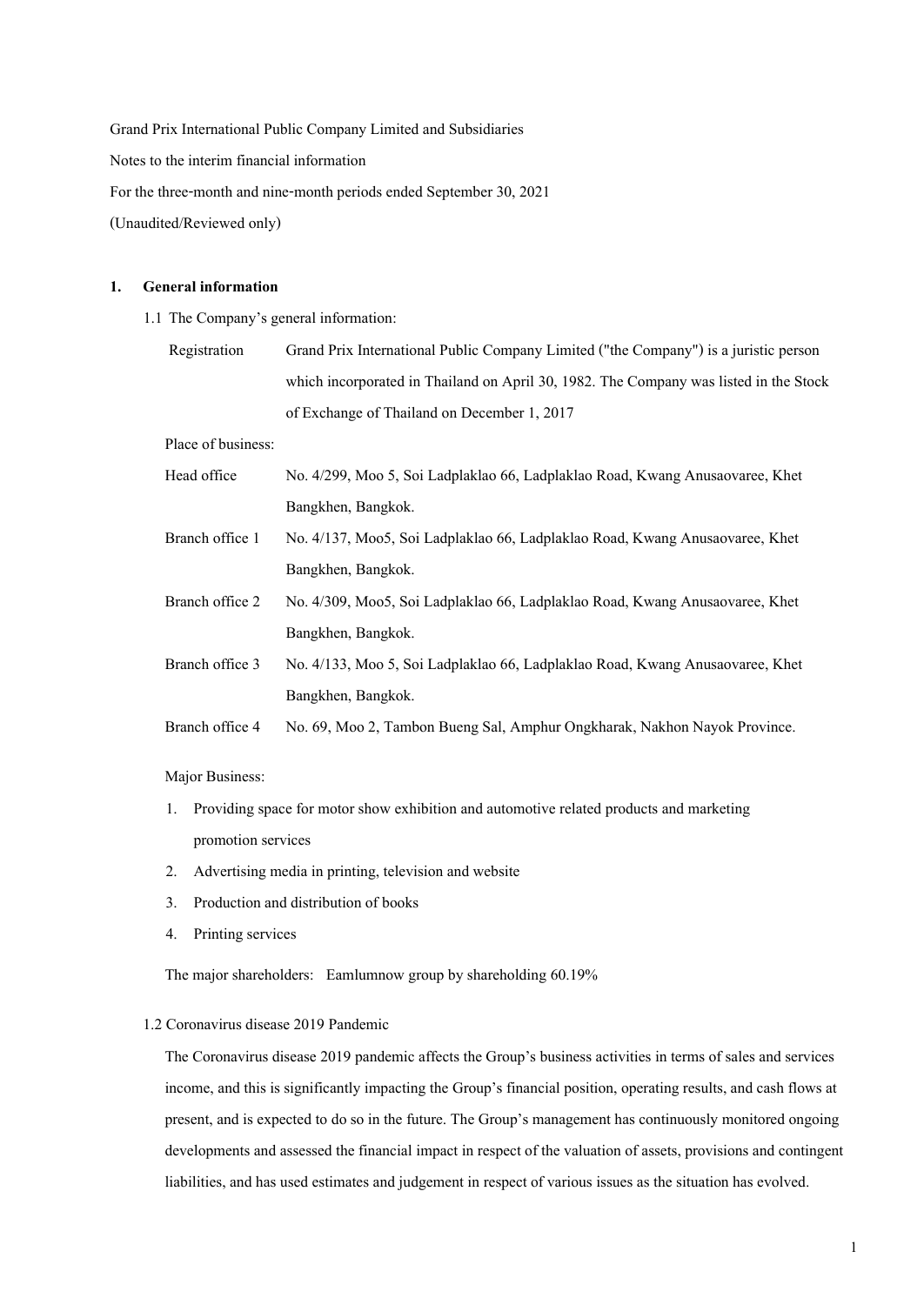Grand Prix International Public Company Limited and Subsidiaries Notes to the interim financial information For the three-month and nine-month periods ended September 30, 2021 (Unaudited/Reviewed only)

#### **1. General information**

- 1.1 The Company's general information:
	- Registration Grand Prix International Public Company Limited ("the Company") is a juristic person which incorporated in Thailand on April 30, 1982. The Company was listed in the Stock of Exchange of Thailand on December 1, 2017

Place of business:

- Head office No. 4/299, Moo 5,Soi Ladplaklao 66, Ladplaklao Road, Kwang Anusaovaree, Khet Bangkhen, Bangkok.
- Branch office 1 No. 4/137, Moo5, Soi Ladplaklao 66, Ladplaklao Road, Kwang Anusaovaree, Khet Bangkhen, Bangkok.
- Branch office 2 No. 4/309, Moo5, Soi Ladplaklao 66, Ladplaklao Road, Kwang Anusaovaree, Khet Bangkhen, Bangkok.
- Branch office 3 No. 4/133, Moo 5, Soi Ladplaklao 66, Ladplaklao Road, Kwang Anusaovaree, Khet Bangkhen, Bangkok.
- Branch office 4 No. 69, Moo 2, Tambon Bueng Sal, Amphur Ongkharak, Nakhon Nayok Province.

Major Business:

- 1. Providing space for motor show exhibition and automotive related products and marketing promotion services
- 2. Advertising media in printing, television and website
- 3. Production and distribution of books
- 4. Printing services

The major shareholders: Eamlumnow group by shareholding 60.19%

### 1.2 Coronavirus disease 2019 Pandemic

The Coronavirus disease 2019 pandemic affects the Group's business activities in terms of sales and services income, and this is significantly impacting the Group's financial position, operating results, and cash flows at present, and is expected to do so in the future. The Group's management has continuously monitored ongoing developments and assessed the financial impact in respect of the valuation of assets, provisions and contingent liabilities, and has used estimates and judgement in respect of various issues as the situation has evolved.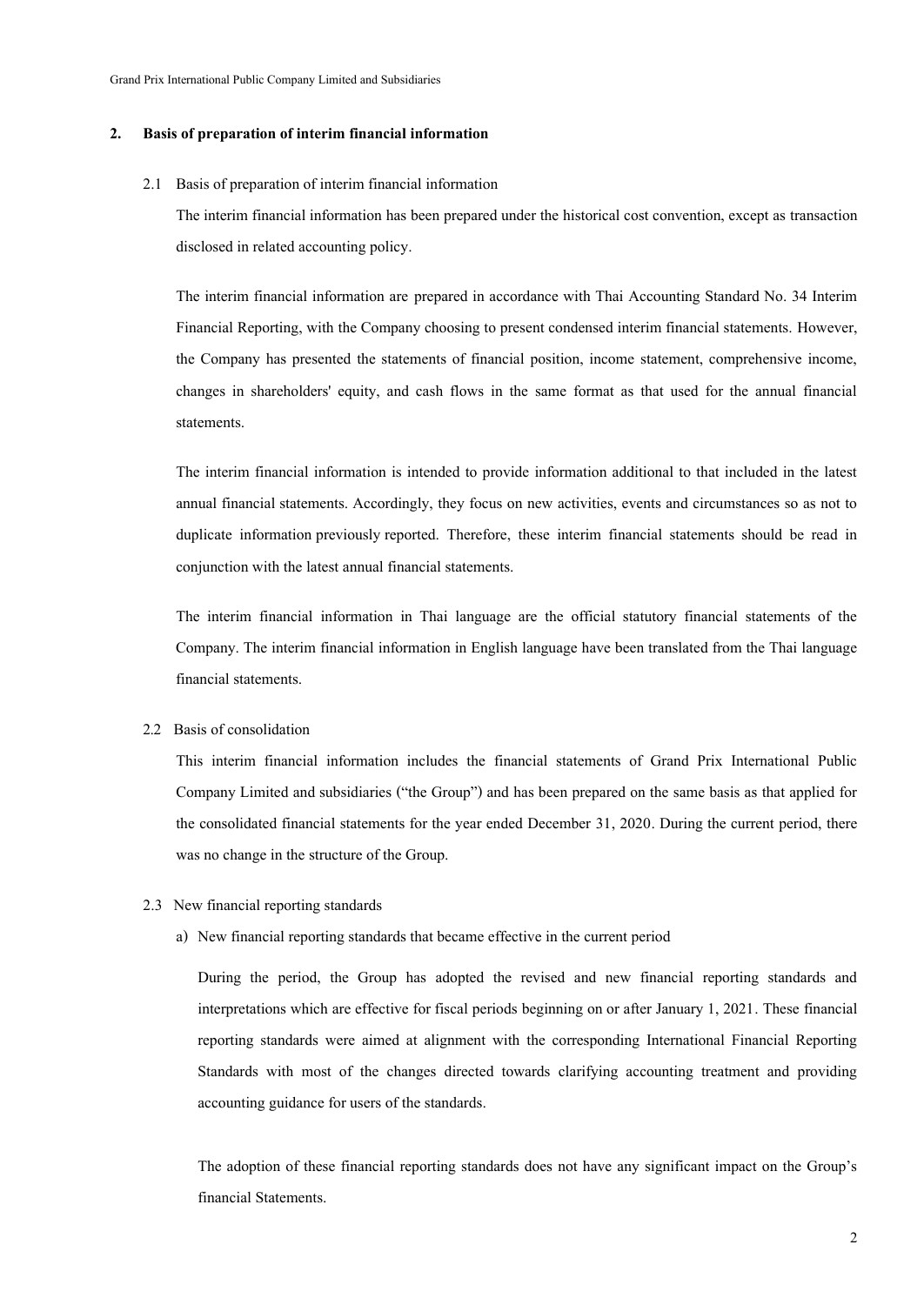#### **2. Basis of preparation of interim financial information**

#### 2.1 Basis of preparation of interim financial information

The interim financial information has been prepared under the historical cost convention, except as transaction disclosed in related accounting policy.

The interim financial information are prepared in accordance with Thai Accounting Standard No. 34 Interim Financial Reporting, with the Company choosing to present condensed interim financial statements. However, the Company has presented the statements of financial position, income statement, comprehensive income, changes in shareholders' equity, and cash flows in the same format as that used for the annual financial statements.

The interim financial information is intended to provide information additional to that included in the latest annual financial statements. Accordingly, they focus on new activities, events and circumstances so as not to duplicate information previously reported. Therefore, these interim financial statements should be read in conjunction with the latest annual financial statements.

The interim financial information in Thai language are the official statutory financial statements of the Company. The interim financial information in English language have been translated from the Thai language financial statements.

#### 2.2 Basis of consolidation

This interim financial information includes the financial statements of Grand Prix International Public Company Limited and subsidiaries ("the Group") and has been prepared on the same basis as that applied for the consolidated financial statements for the year ended December 31, 2020. During the current period, there was no change in the structure of the Group.

- 2.3 New financial reporting standards
	- a) New financial reporting standards that became effective in the current period

During the period, the Group has adopted the revised and new financial reporting standards and interpretations which are effective for fiscal periods beginning on or after January 1, 2021. These financial reporting standards were aimed at alignment with the corresponding International Financial Reporting Standards with most of the changes directed towards clarifying accounting treatment and providing accounting guidance for users of the standards.

The adoption of these financial reporting standards does not have any significant impact on the Group's financial Statements.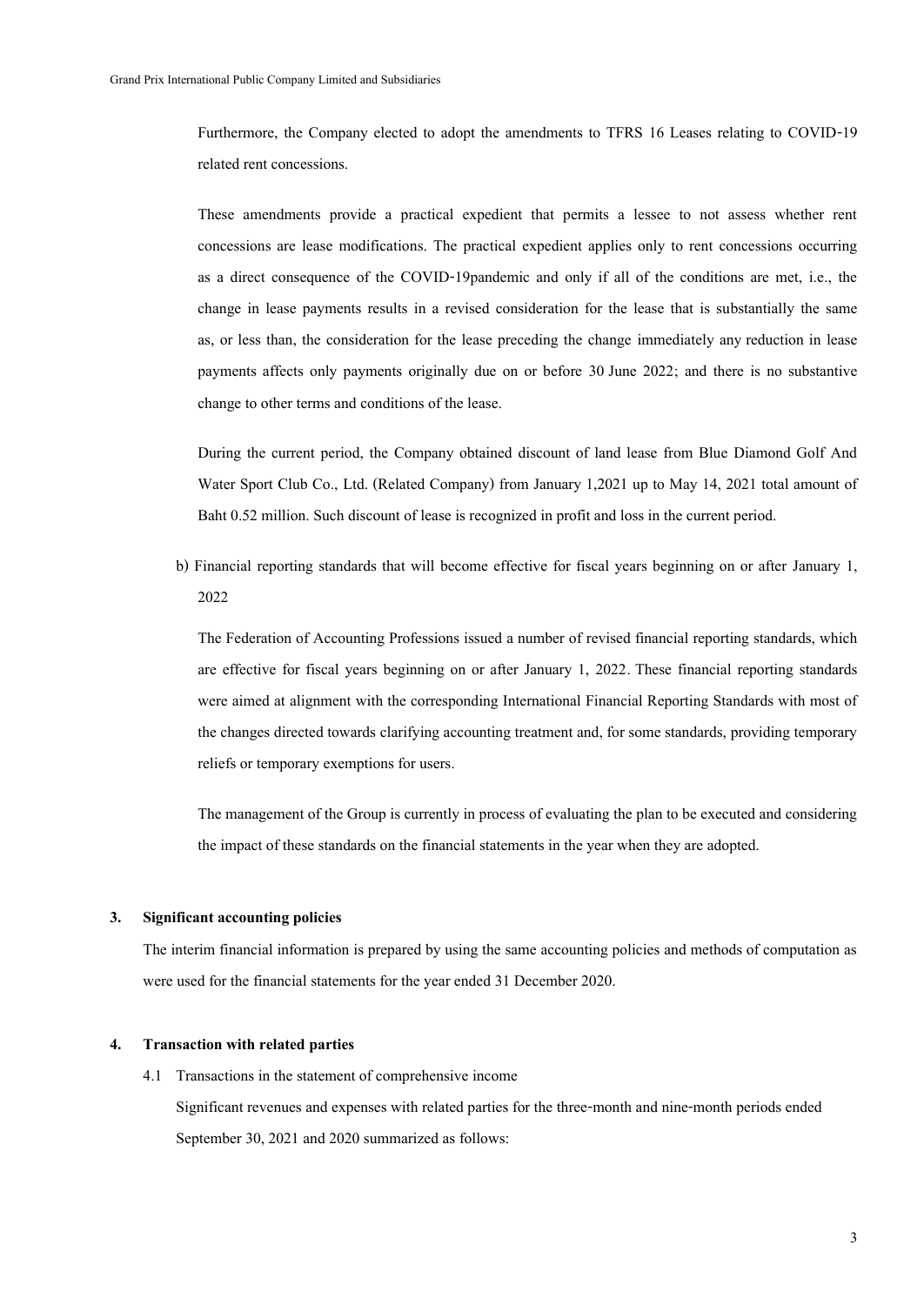Furthermore, the Company elected to adopt the amendments to TFRS 16 Leases relating to COVID-19 related rent concessions.

 These amendments provide a practical expedient that permits a lessee to not assess whether rent concessions are lease modifications. The practical expedient applies only to rent concessions occurring as a direct consequence of the COVID-19pandemic and only if all of the conditions are met, i.e., the change in lease payments results in a revised consideration for the lease that is substantially the same as, or less than, the consideration for the lease preceding the change immediately any reduction in lease payments affects only payments originally due on or before 30 June 2022; and there is no substantive change to other terms and conditions of the lease.

During the current period, the Company obtained discount of land lease from Blue Diamond Golf And Water Sport Club Co., Ltd. (Related Company) from January 1,2021 up to May 14, 2021 total amount of Baht 0.52 million. Such discount of lease is recognized in profit and loss in the current period.

b) Financial reporting standards that will become effective for fiscal years beginning on or after January 1, 2022

The Federation of Accounting Professions issued a number of revised financial reporting standards, which are effective for fiscal years beginning on or after January 1, 2022. These financial reporting standards were aimed at alignment with the corresponding International Financial Reporting Standards with most of the changes directed towards clarifying accounting treatment and, for some standards, providing temporary reliefs or temporary exemptions for users.

The management of the Group is currently in process of evaluating the plan to be executed and considering the impact of these standards on the financial statements in the year when they are adopted.

#### **3. Significant accounting policies**

The interim financial information is prepared by using the same accounting policies and methods of computation as were used for the financial statements for the year ended 31 December 2020.

### **4. Transaction with related parties**

4.1 Transactions in the statement of comprehensive income

Significant revenues and expenses with related parties for the three-month and nine-month periods ended September 30,2021 and 2020 summarized as follows: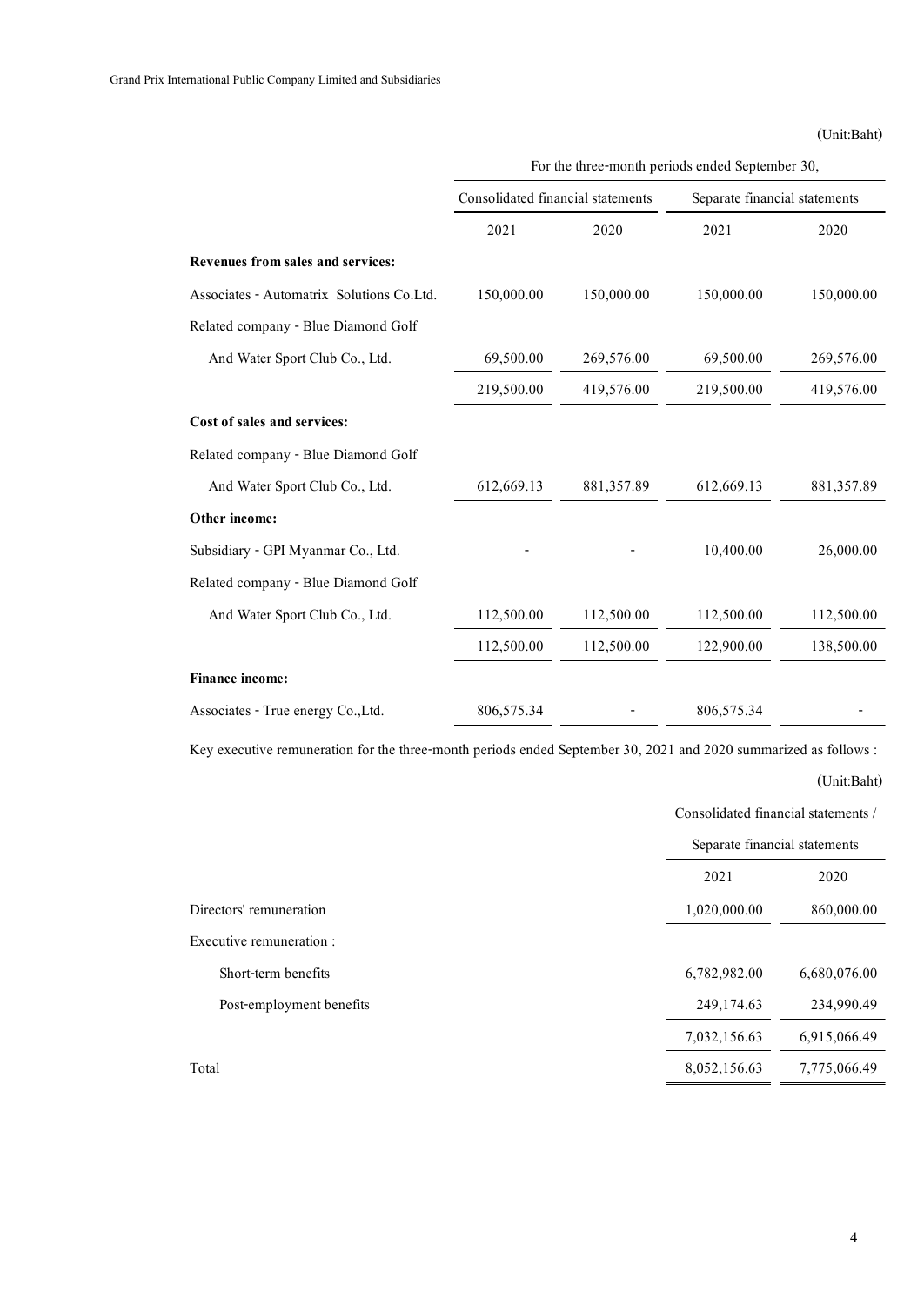## (Unit:Baht)

| rnational Public Company Limited and Subsidiaries |                                   |            |                                                 |             |
|---------------------------------------------------|-----------------------------------|------------|-------------------------------------------------|-------------|
|                                                   |                                   |            |                                                 | (Unit:Baht) |
|                                                   |                                   |            | For the three-month periods ended September 30, |             |
|                                                   | Consolidated financial statements |            | Separate financial statements                   |             |
|                                                   | 2021                              | 2020       | 2021                                            | 2020        |
| Revenues from sales and services:                 |                                   |            |                                                 |             |
| Associates - Automatrix Solutions Co.Ltd.         | 150,000.00                        | 150,000.00 | 150,000.00                                      | 150,000.00  |
| Related company - Blue Diamond Golf               |                                   |            |                                                 |             |
| And Water Sport Club Co., Ltd.                    | 69,500.00                         | 269,576.00 | 69,500.00                                       | 269,576.00  |
|                                                   | 219,500.00                        | 419,576.00 | 219,500.00                                      | 419,576.00  |
| Cost of sales and services:                       |                                   |            |                                                 |             |
| Related company - Blue Diamond Golf               |                                   |            |                                                 |             |
| And Water Sport Club Co., Ltd.                    | 612,669.13                        | 881,357.89 | 612,669.13                                      | 881,357.89  |
| Other income:                                     |                                   |            |                                                 |             |
| Subsidiary - GPI Myanmar Co., Ltd.                |                                   |            | 10,400.00                                       | 26,000.00   |
| Related company - Blue Diamond Golf               |                                   |            |                                                 |             |
| And Water Sport Club Co., Ltd.                    | 112,500.00                        | 112,500.00 | 112,500.00                                      | 112,500.00  |
|                                                   | 112,500.00                        | 112,500.00 | 122,900.00                                      | 138,500.00  |
| Finance income:                                   |                                   |            |                                                 |             |
| Associates - True energy Co., Ltd.                | 806,575.34                        |            | 806,575.34                                      |             |

Key executive remuneration for the three-month periods ended September 30, 2021 and 2020 summarized as follows :

(Unit:Baht)

Consolidated financial statements /

|                          |              | Separate financial statements |  |  |
|--------------------------|--------------|-------------------------------|--|--|
|                          | 2021         | 2020                          |  |  |
| Directors' remuneration  | 1,020,000.00 | 860,000.00                    |  |  |
| Executive remuneration : |              |                               |  |  |
| Short-term benefits      | 6,782,982.00 | 6,680,076.00                  |  |  |
| Post-employment benefits | 249,174.63   | 234,990.49                    |  |  |
|                          | 7,032,156.63 | 6,915,066.49                  |  |  |
| Total                    | 8,052,156.63 | 7,775,066.49                  |  |  |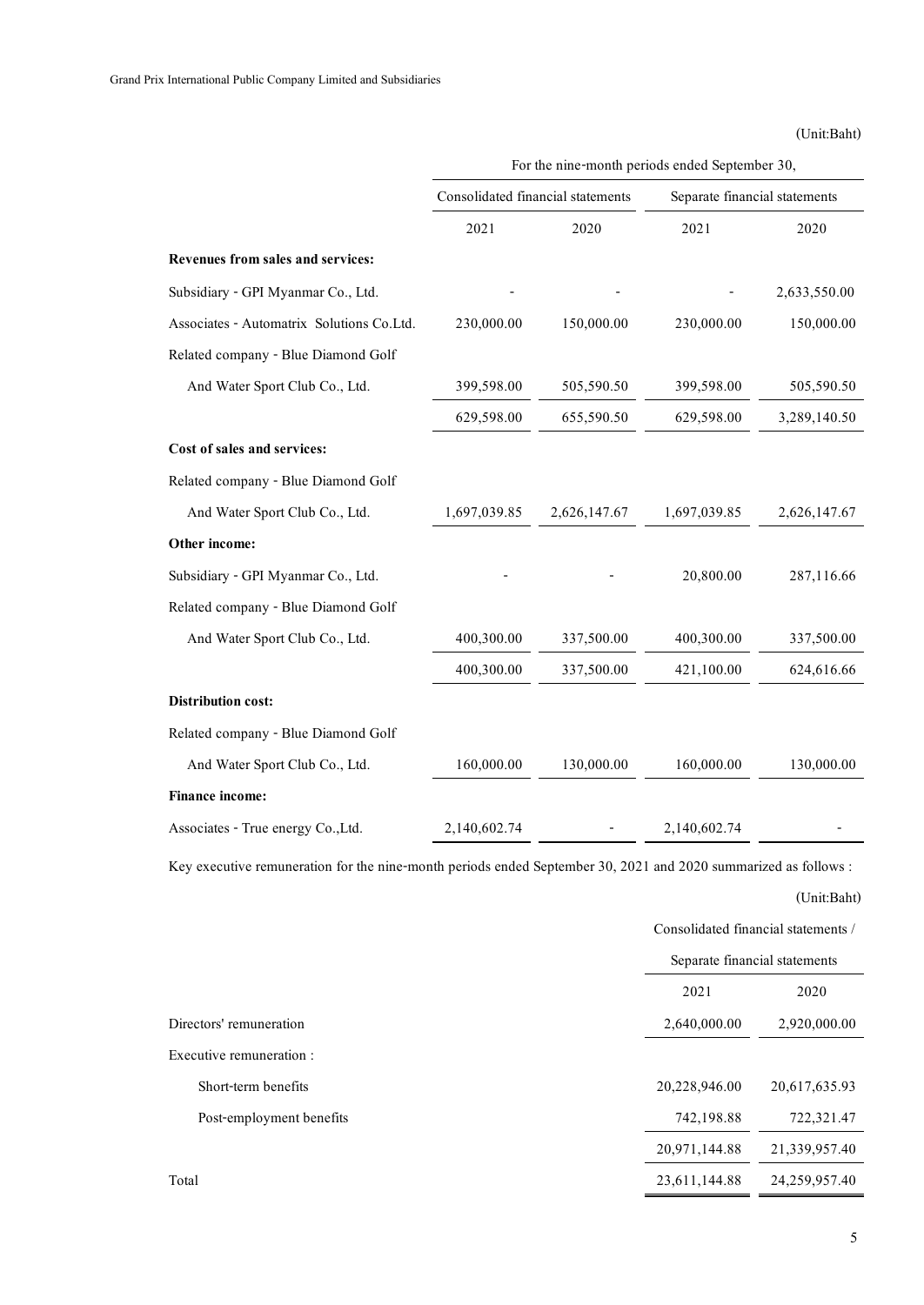| International Public Company Limited and Subsidiaries |                                   |                                                |                               |              |
|-------------------------------------------------------|-----------------------------------|------------------------------------------------|-------------------------------|--------------|
|                                                       |                                   |                                                |                               | (Unit:Baht)  |
|                                                       |                                   | For the nine-month periods ended September 30, |                               |              |
|                                                       | Consolidated financial statements |                                                | Separate financial statements |              |
|                                                       | 2021                              | 2020                                           | 2021                          | 2020         |
| Revenues from sales and services:                     |                                   |                                                |                               |              |
| Subsidiary - GPI Myanmar Co., Ltd.                    |                                   |                                                |                               | 2,633,550.00 |
| Associates - Automatrix Solutions Co.Ltd.             | 230,000.00                        | 150,000.00                                     | 230,000.00                    | 150,000.00   |
| Related company - Blue Diamond Golf                   |                                   |                                                |                               |              |
| And Water Sport Club Co., Ltd.                        | 399,598.00                        | 505,590.50                                     | 399,598.00                    | 505,590.50   |
|                                                       | 629,598.00                        | 655,590.50                                     | 629,598.00                    | 3,289,140.50 |
| Cost of sales and services:                           |                                   |                                                |                               |              |
| Related company - Blue Diamond Golf                   |                                   |                                                |                               |              |
| And Water Sport Club Co., Ltd.                        | 1,697,039.85                      | 2,626,147.67                                   | 1,697,039.85                  | 2,626,147.67 |
| Other income:                                         |                                   |                                                |                               |              |
| Subsidiary - GPI Myanmar Co., Ltd.                    |                                   |                                                | 20,800.00                     | 287,116.66   |
| Related company - Blue Diamond Golf                   |                                   |                                                |                               |              |
| And Water Sport Club Co., Ltd.                        | 400,300.00                        | 337,500.00                                     | 400,300.00                    | 337,500.00   |
|                                                       | 400,300.00                        | 337,500.00                                     | 421,100.00                    | 624,616.66   |
| <b>Distribution cost:</b>                             |                                   |                                                |                               |              |
| Related company - Blue Diamond Golf                   |                                   |                                                |                               |              |
| And Water Sport Club Co., Ltd.                        | 160,000.00                        | 130,000.00                                     | 160,000.00                    | 130,000.00   |
| <b>Finance income:</b>                                |                                   |                                                |                               |              |
| Associates - True energy Co., Ltd.                    | 2,140,602.74                      |                                                | 2,140,602.74                  |              |

Key executive remuneration for the nine-month periods ended September 30, 2021 and 2020 summarized as follows :

|                          | Consolidated financial statements /<br>Separate financial statements |               |  |
|--------------------------|----------------------------------------------------------------------|---------------|--|
|                          |                                                                      |               |  |
|                          | 2021                                                                 | 2020          |  |
| Directors' remuneration  | 2,640,000.00                                                         | 2,920,000.00  |  |
| Executive remuneration : |                                                                      |               |  |
| Short-term benefits      | 20,228,946.00                                                        | 20,617,635.93 |  |
| Post-employment benefits | 742,198.88                                                           | 722,321.47    |  |
|                          | 20,971,144.88                                                        | 21,339,957.40 |  |
| Total                    | 23,611,144.88                                                        | 24,259,957.40 |  |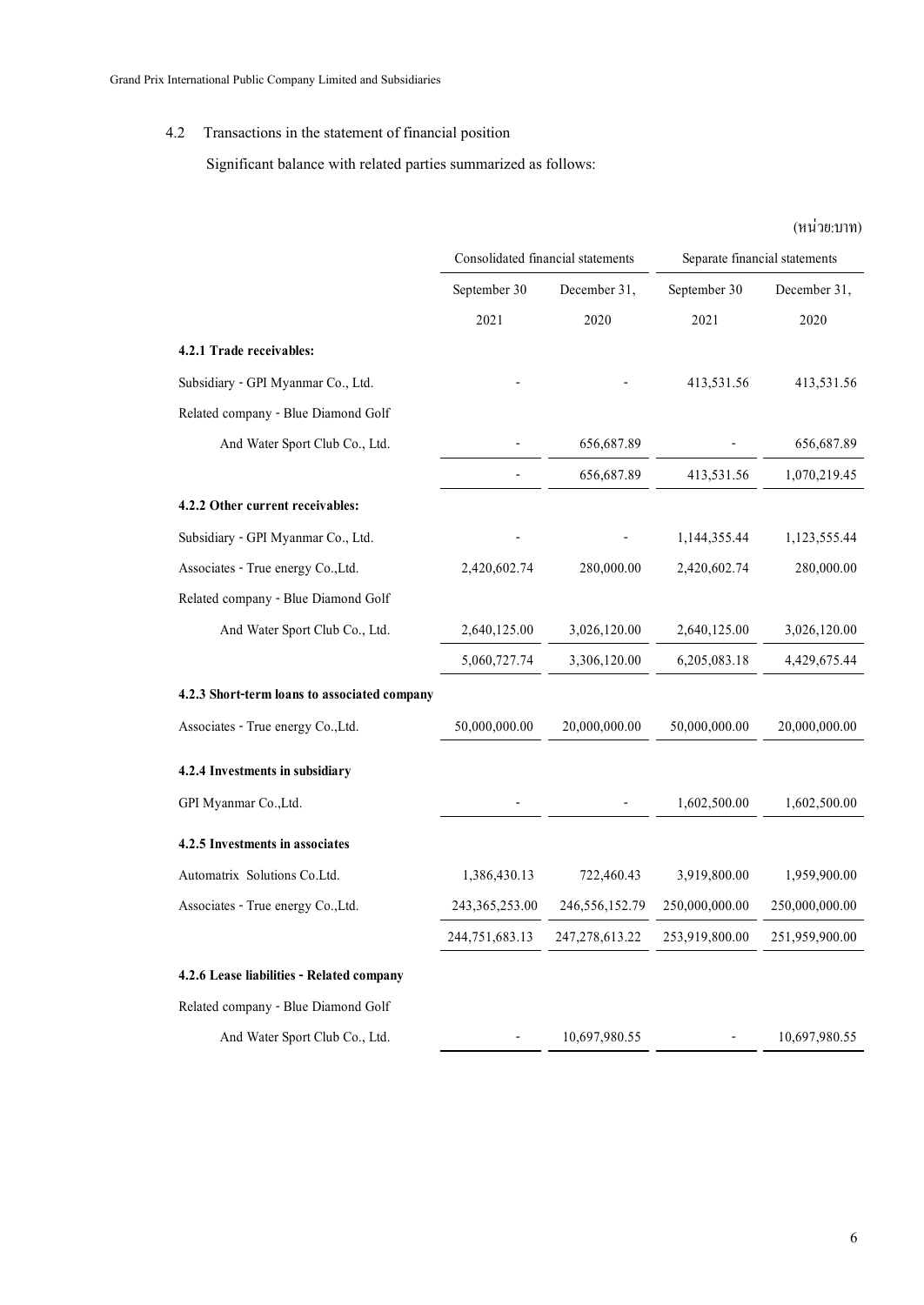## 4.2 Transactions in the statement of financial position

Significant balance with related parties summarized as follows:

|                                              |                                   |                   |                               | (หน่วย:บาท)    |
|----------------------------------------------|-----------------------------------|-------------------|-------------------------------|----------------|
|                                              | Consolidated financial statements |                   | Separate financial statements |                |
|                                              | September 30                      | December 31,      | September 30                  | December 31,   |
|                                              | 2021                              | 2020              | 2021                          | 2020           |
| 4.2.1 Trade receivables:                     |                                   |                   |                               |                |
| Subsidiary - GPI Myanmar Co., Ltd.           |                                   |                   | 413,531.56                    | 413,531.56     |
| Related company - Blue Diamond Golf          |                                   |                   |                               |                |
| And Water Sport Club Co., Ltd.               |                                   | 656,687.89        |                               | 656,687.89     |
|                                              |                                   | 656,687.89        | 413,531.56                    | 1,070,219.45   |
| 4.2.2 Other current receivables:             |                                   |                   |                               |                |
| Subsidiary - GPI Myanmar Co., Ltd.           |                                   |                   | 1,144,355.44                  | 1,123,555.44   |
| Associates - True energy Co., Ltd.           | 2,420,602.74                      | 280,000.00        | 2,420,602.74                  | 280,000.00     |
| Related company - Blue Diamond Golf          |                                   |                   |                               |                |
| And Water Sport Club Co., Ltd.               | 2,640,125.00                      | 3,026,120.00      | 2,640,125.00                  | 3,026,120.00   |
|                                              | 5,060,727.74                      | 3,306,120.00      | 6,205,083.18                  | 4,429,675.44   |
| 4.2.3 Short-term loans to associated company |                                   |                   |                               |                |
| Associates - True energy Co., Ltd.           | 50,000,000.00                     | 20,000,000.00     | 50,000,000.00                 | 20,000,000.00  |
| 4.2.4 Investments in subsidiary              |                                   |                   |                               |                |
| GPI Myanmar Co., Ltd.                        |                                   |                   | 1,602,500.00                  | 1,602,500.00   |
| 4.2.5 Investments in associates              |                                   |                   |                               |                |
| Automatrix Solutions Co.Ltd.                 | 1,386,430.13                      | 722,460.43        | 3,919,800.00                  | 1,959,900.00   |
| Associates - True energy Co., Ltd.           | 243, 365, 253.00                  | 246,556,152.79    | 250,000,000.00                | 250,000,000.00 |
|                                              | 244,751,683.13                    | 247, 278, 613. 22 | 253,919,800.00                | 251,959,900.00 |
| 4.2.6 Lease liabilities - Related company    |                                   |                   |                               |                |
| Related company - Blue Diamond Golf          |                                   |                   |                               |                |
| And Water Sport Club Co., Ltd.               |                                   | 10,697,980.55     |                               | 10,697,980.55  |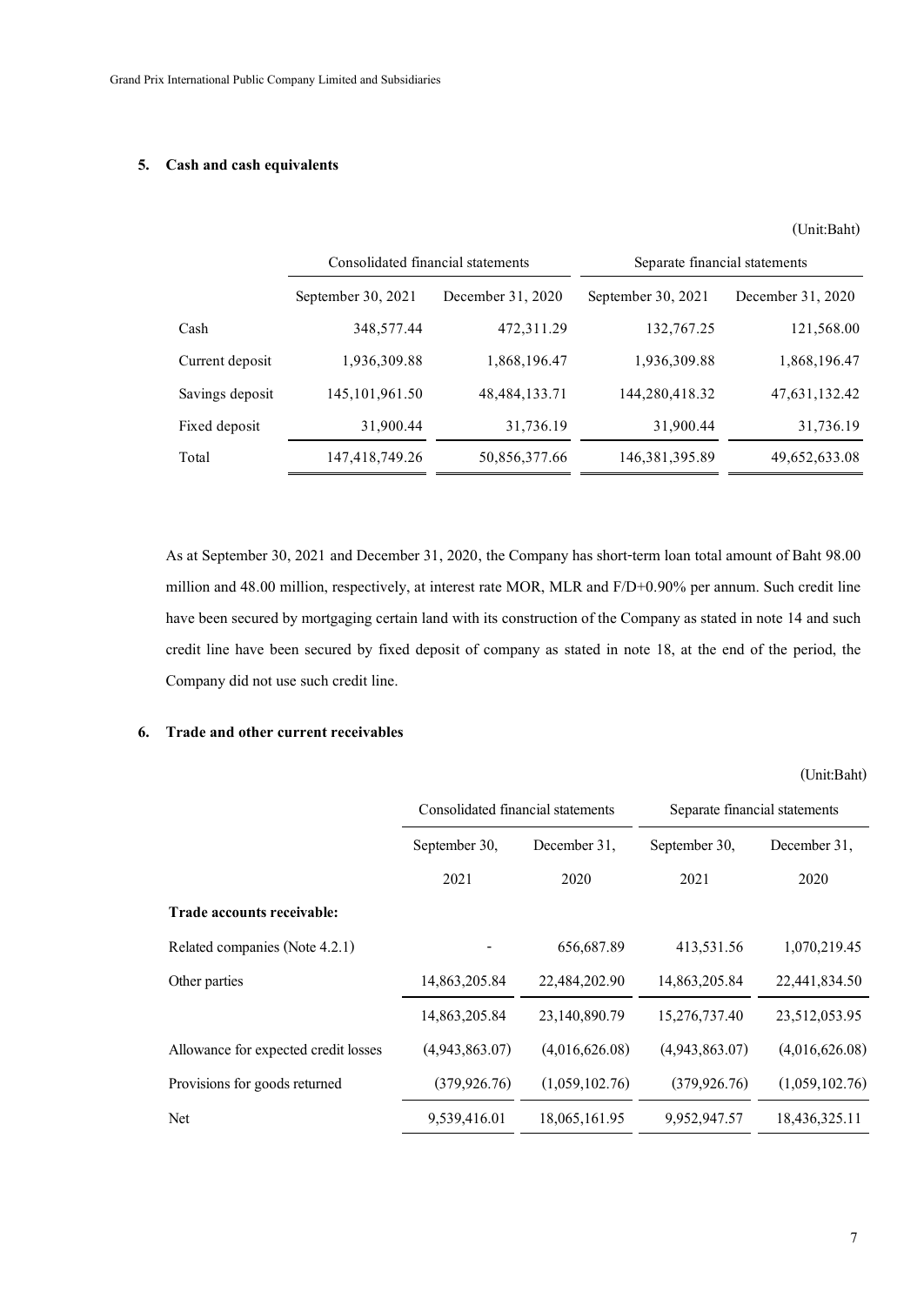### **5. Cash and cash equivalents**

|                 |                                   |                   |                               | (Unit:Baht)       |
|-----------------|-----------------------------------|-------------------|-------------------------------|-------------------|
|                 | Consolidated financial statements |                   | Separate financial statements |                   |
|                 | September 30, 2021                | December 31, 2020 | September 30, $2021$          | December 31, 2020 |
| Cash            | 348,577.44                        | 472,311.29        | 132,767.25                    | 121,568.00        |
| Current deposit | 1,936,309.88                      | 1,868,196.47      | 1,936,309.88                  | 1,868,196.47      |
| Savings deposit | 145, 101, 961. 50                 | 48, 484, 133. 71  | 144,280,418.32                | 47,631,132.42     |
| Fixed deposit   | 31,900.44                         | 31,736.19         | 31,900.44                     | 31,736.19         |
| Total           | 147,418,749.26                    | 50,856,377.66     | 146, 381, 395.89              | 49,652,633.08     |
|                 |                                   |                   |                               |                   |

As at September 30, 2021 and December 31, 2020, the Company has short-term loan total amount of Baht 98.00 million and 48.00 million, respectively, at interest rate MOR, MLR and F/D+0.90% per annum. Such credit line have been secured by mortgaging certain land with its construction of the Company as stated in note 14 and such credit line have been secured by fixed deposit of company as stated in note 18, at the end of the period, the Company did not use such credit line.

### **6. Trade and other current receivables**

|                                      | Consolidated financial statements |                | Separate financial statements |                |
|--------------------------------------|-----------------------------------|----------------|-------------------------------|----------------|
|                                      | September 30,                     | December 31,   | September 30,                 | December 31,   |
|                                      | 2021                              | 2020           | 2021                          | 2020           |
| Trade accounts receivable:           |                                   |                |                               |                |
| Related companies (Note 4.2.1)       |                                   | 656,687.89     | 413,531.56                    | 1,070,219.45   |
| Other parties                        | 14,863,205.84                     | 22,484,202.90  | 14,863,205.84                 | 22,441,834.50  |
|                                      | 14,863,205.84                     | 23,140,890.79  | 15,276,737.40                 | 23,512,053.95  |
| Allowance for expected credit losses | (4,943,863.07)                    | (4,016,626.08) | (4,943,863.07)                | (4,016,626.08) |
| Provisions for goods returned        | (379, 926.76)                     | (1,059,102.76) | (379, 926.76)                 | (1,059,102.76) |
| Net                                  | 9,539,416.01                      | 18,065,161.95  | 9,952,947.57                  | 18,436,325.11  |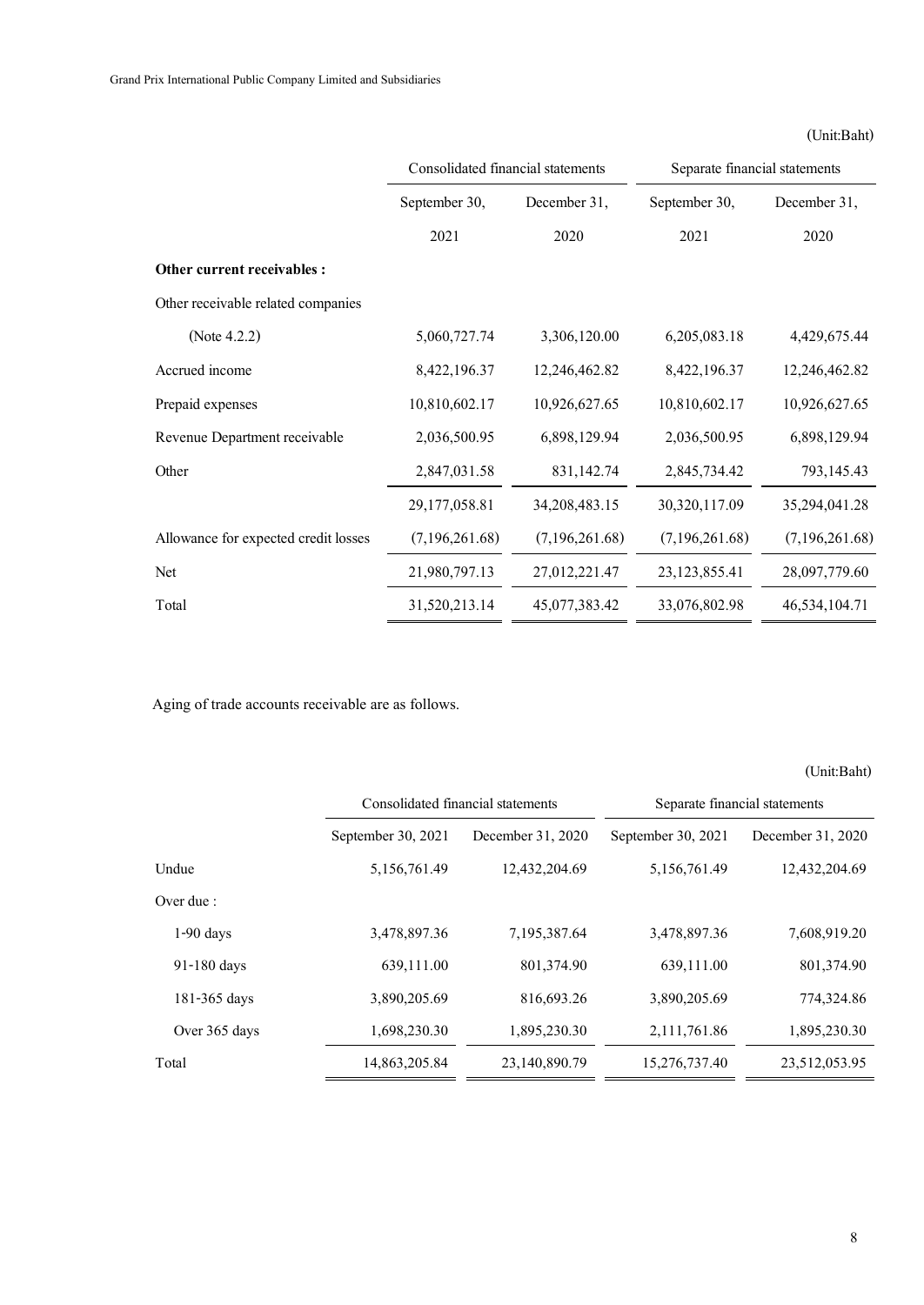## (Unit:Baht)

|                                      | Consolidated financial statements |                  | Separate financial statements |                |  |
|--------------------------------------|-----------------------------------|------------------|-------------------------------|----------------|--|
|                                      | December 31,<br>September 30,     |                  | September 30,                 | December 31,   |  |
|                                      | 2021                              | 2020             | 2021                          | 2020           |  |
| Other current receivables :          |                                   |                  |                               |                |  |
| Other receivable related companies   |                                   |                  |                               |                |  |
| (Note $4.2.2$ )                      | 5,060,727.74                      | 3,306,120.00     | 6,205,083.18                  | 4,429,675.44   |  |
| Accrued income                       | 8,422,196.37                      | 12,246,462.82    | 8,422,196.37                  | 12,246,462.82  |  |
| Prepaid expenses                     | 10,810,602.17                     | 10,926,627.65    | 10,810,602.17                 | 10,926,627.65  |  |
| Revenue Department receivable        | 2,036,500.95                      | 6,898,129.94     | 2,036,500.95                  | 6,898,129.94   |  |
| Other                                | 2,847,031.58                      | 831,142.74       | 2,845,734.42                  | 793,145.43     |  |
|                                      | 29,177,058.81                     | 34, 208, 483. 15 | 30,320,117.09                 | 35,294,041.28  |  |
| Allowance for expected credit losses | (7,196,261.68)                    | (7,196,261.68)   | (7,196,261.68)                | (7,196,261.68) |  |
| Net                                  | 21,980,797.13                     | 27,012,221.47    | 23, 123, 855. 41              | 28,097,779.60  |  |
| Total                                | 31,520,213.14                     | 45,077,383.42    | 33,076,802.98                 | 46,534,104.71  |  |

Aging of trade accounts receivable are as follows.

|               | Consolidated financial statements |                   |                    | Separate financial statements |
|---------------|-----------------------------------|-------------------|--------------------|-------------------------------|
|               | September 30, 2021                | December 31, 2020 | September 30, 2021 | December 31, 2020             |
| Undue         | 5,156,761.49                      | 12,432,204.69     | 5,156,761.49       | 12,432,204.69                 |
| Over due :    |                                   |                   |                    |                               |
| $1-90$ days   | 3,478,897.36                      | 7,195,387.64      | 3,478,897.36       | 7,608,919.20                  |
| 91-180 days   | 639,111.00                        | 801,374.90        | 639,111.00         | 801,374.90                    |
| 181-365 days  | 3,890,205.69                      | 816,693.26        | 3,890,205.69       | 774,324.86                    |
| Over 365 days | 1,698,230.30                      | 1,895,230.30      | 2,111,761.86       | 1,895,230.30                  |
| Total         | 14,863,205.84                     | 23,140,890.79     | 15,276,737.40      | 23,512,053.95                 |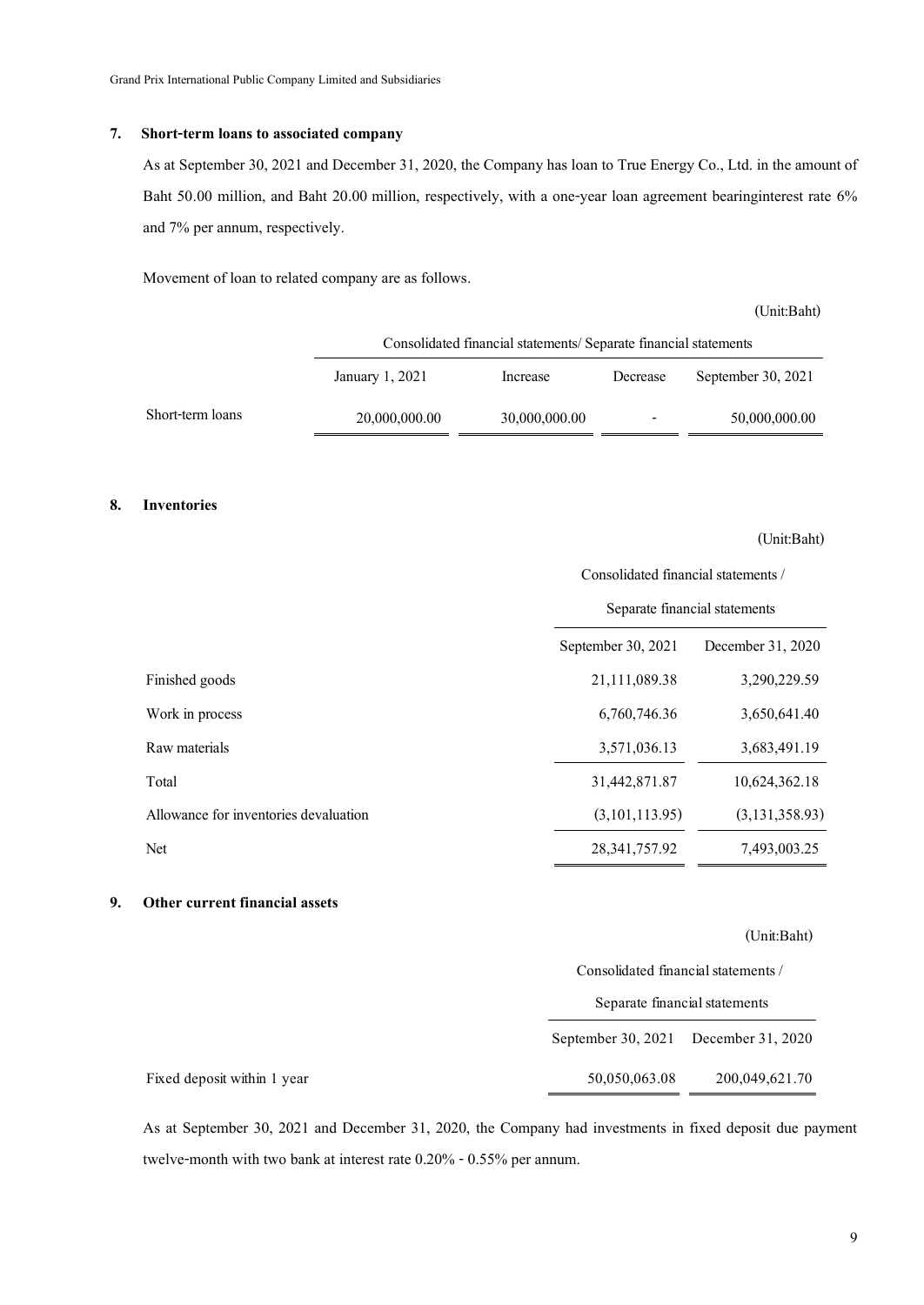#### **7. Short-term loans to associated company**

As at September 30, 2021 and December 31, 2020, the Company has loan to True Energy Co., Ltd. in the amount of Baht 50.00 million, and Baht 20.00 million, respectively, with a one-year loan agreement bearinginterest rate 6% and 7% per annum, respectively.

Movement of loan to related company are as follows.

(Unit:Baht)

(Unit:Baht)

|                  | Consolidated financial statements/Separate financial statements |               |          |                    |  |
|------------------|-----------------------------------------------------------------|---------------|----------|--------------------|--|
|                  | January 1, 2021                                                 | Increase      | Decrease | September 30, 2021 |  |
| Short-term loans | 20,000,000.00                                                   | 30,000,000.00 |          | 50,000,000.00      |  |

#### **8. Inventories**

|                                       | Consolidated financial statements / |                   |  |  |
|---------------------------------------|-------------------------------------|-------------------|--|--|
|                                       | Separate financial statements       |                   |  |  |
|                                       | September 30, 2021                  | December 31, 2020 |  |  |
| Finished goods                        | 21,111,089.38                       | 3,290,229.59      |  |  |
| Work in process                       | 6,760,746.36                        | 3,650,641.40      |  |  |
| Raw materials                         | 3,571,036.13                        | 3,683,491.19      |  |  |
| Total                                 | 31,442,871.87                       | 10,624,362.18     |  |  |
| Allowance for inventories devaluation | (3,101,113.95)                      | (3, 131, 358.93)  |  |  |
| Net                                   | 28, 341, 757. 92                    | 7,493,003.25      |  |  |
|                                       |                                     |                   |  |  |

**9. Other current financial assets**

#### (Unit:Baht)

| (Unii:Bant)                          |  |
|--------------------------------------|--|
| Consolidated financial statements /  |  |
| Separate financial statements        |  |
| September 30, 2021 December 31, 2020 |  |
| 200,049,621.70<br>50,050,063.08      |  |

As at September 30, 2021 and December 31, 2020, the Company had investments in fixed deposit due payment twelve-month with two bank at interest rate 0.20% - 0.55% per annum.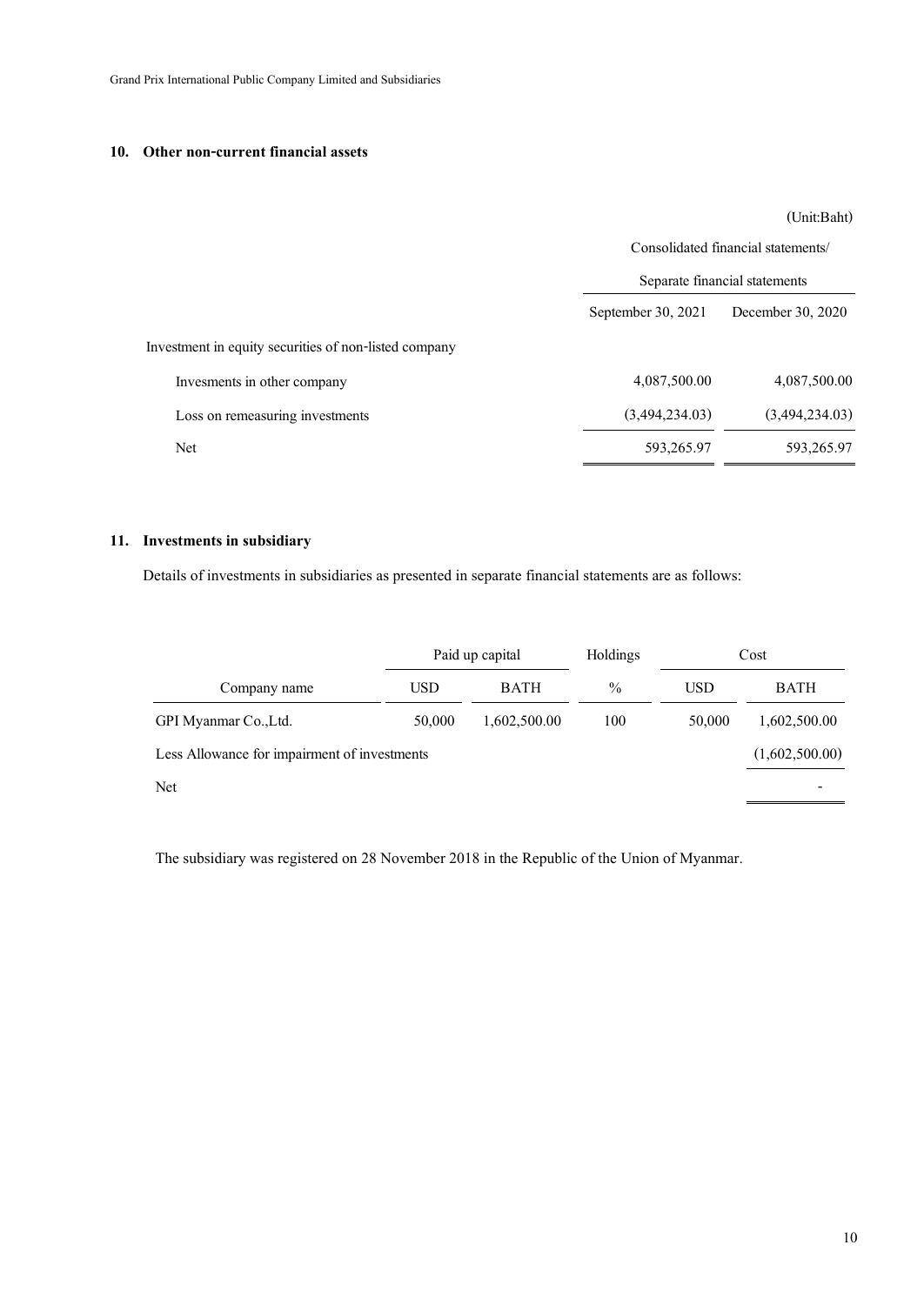### **10. Other non-current financial assets**

(Unit:Baht)

|                                                       | Consolidated financial statements/<br>Separate financial statements |                   |  |
|-------------------------------------------------------|---------------------------------------------------------------------|-------------------|--|
|                                                       |                                                                     |                   |  |
|                                                       | September 30, 2021                                                  | December 30, 2020 |  |
| Investment in equity securities of non-listed company |                                                                     |                   |  |
| Invesments in other company                           | 4,087,500.00                                                        | 4,087,500.00      |  |
| Loss on remeasuring investments                       | (3,494,234.03)                                                      | (3,494,234.03)    |  |
| Net                                                   | 593,265.97                                                          | 593,265.97        |  |

### **11. Investments in subsidiary**

Details of investments in subsidiaries as presented in separate financial statements are as follows:

|                                              | Paid up capital |              |               |            | Holdings       |  | Cost |
|----------------------------------------------|-----------------|--------------|---------------|------------|----------------|--|------|
| Company name                                 | <b>USD</b>      | <b>BATH</b>  | $\frac{0}{0}$ | <b>USD</b> | <b>BATH</b>    |  |      |
| GPI Myanmar Co., Ltd.                        | 50,000          | 1,602,500.00 | 100           | 50,000     | 1,602,500.00   |  |      |
| Less Allowance for impairment of investments |                 |              |               |            | (1,602,500.00) |  |      |
| <b>Net</b>                                   |                 |              |               |            |                |  |      |

The subsidiary was registered on 28 November 2018 in the Republic of the Union of Myanmar.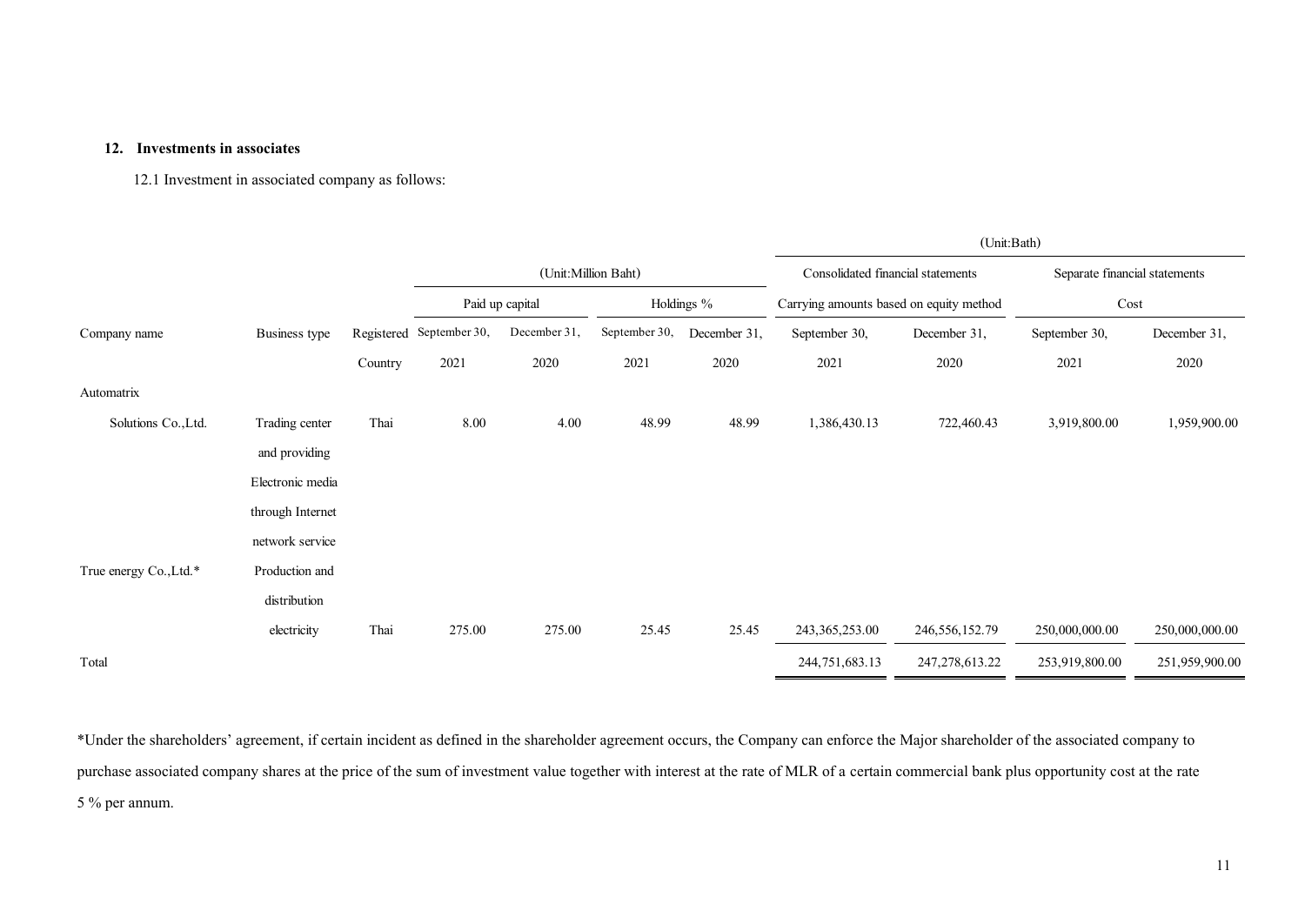### **12. Investments in associates**

12.1 Investment in associated company as follows:

|                        | 12.1 Investment in associated company as follows. |         |                          |                 |                     |              |                                         |                   |                               |                |
|------------------------|---------------------------------------------------|---------|--------------------------|-----------------|---------------------|--------------|-----------------------------------------|-------------------|-------------------------------|----------------|
|                        |                                                   |         |                          |                 |                     |              |                                         | (Unit:Bath)       |                               |                |
|                        |                                                   |         |                          |                 | (Unit:Million Baht) |              | Consolidated financial statements       |                   | Separate financial statements |                |
|                        |                                                   |         |                          | Paid up capital |                     | Holdings %   | Carrying amounts based on equity method |                   | Cost                          |                |
| Company name           | Business type                                     |         | Registered September 30, | December 31,    | September 30,       | December 31, | September 30,                           | December 31,      | September 30,                 | December 31,   |
|                        |                                                   | Country | 2021                     | 2020            | 2021                | 2020         | 2021                                    | 2020              | 2021                          | 2020           |
| Automatrix             |                                                   |         |                          |                 |                     |              |                                         |                   |                               |                |
| Solutions Co., Ltd.    | Trading center                                    | Thai    | 8.00                     | 4.00            | 48.99               | 48.99        | 1,386,430.13                            | 722,460.43        | 3,919,800.00                  | 1,959,900.00   |
|                        | and providing                                     |         |                          |                 |                     |              |                                         |                   |                               |                |
|                        | Electronic media                                  |         |                          |                 |                     |              |                                         |                   |                               |                |
|                        | through Internet                                  |         |                          |                 |                     |              |                                         |                   |                               |                |
|                        | network service                                   |         |                          |                 |                     |              |                                         |                   |                               |                |
| True energy Co., Ltd.* | Production and                                    |         |                          |                 |                     |              |                                         |                   |                               |                |
|                        | distribution                                      |         |                          |                 |                     |              |                                         |                   |                               |                |
|                        | electricity                                       | Thai    | 275.00                   | 275.00          | 25.45               | 25.45        | 243, 365, 253.00                        | 246, 556, 152. 79 | 250,000,000.00                | 250,000,000.00 |
| Total                  |                                                   |         |                          |                 |                     |              | 244,751,683.13                          | 247, 278, 613. 22 | 253,919,800.00                | 251,959,900.00 |

\*Under the shareholders' agreement, if certain incident as defined in the shareholder agreement occurs, the Company can enforce the Major shareholder of the associated company to purchase associated company shares at the price of the sum of investment value together with interest at the rate of MLR of a certain commercial bank plus opportunity cost at the rate 5 % per annum.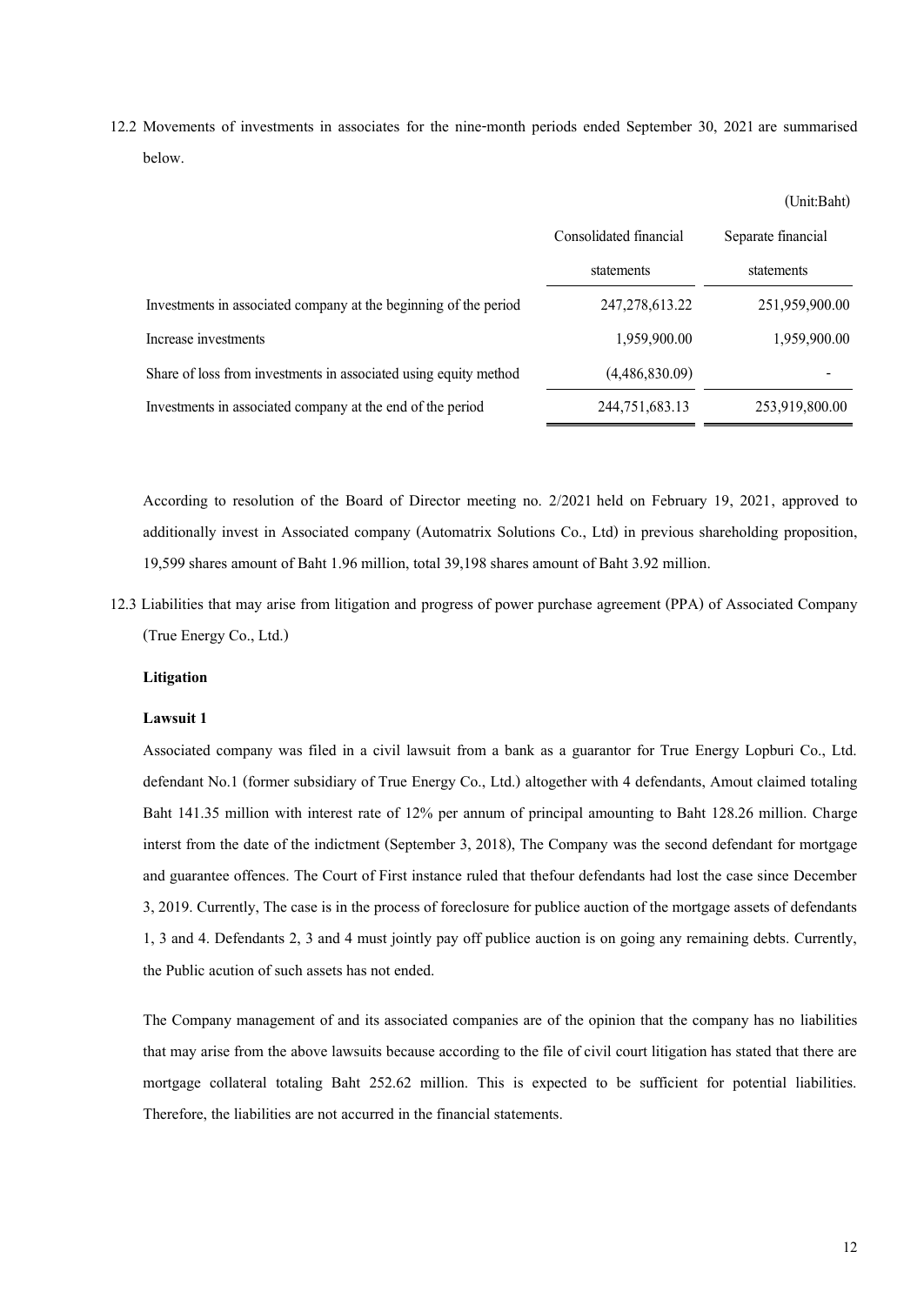12.2 Movements of investments in associates for the nine-month periods ended September 30, 2021 are summarised below.

|                                                                  | Consolidated financial | Separate financial |
|------------------------------------------------------------------|------------------------|--------------------|
|                                                                  | statements             | statements         |
| Investments in associated company at the beginning of the period | 247, 278, 613. 22      | 251,959,900.00     |
| Increase investments                                             | 1,959,900.00           | 1,959,900.00       |
| Share of loss from investments in associated using equity method | (4,486,830.09)         |                    |
| Investments in associated company at the end of the period       | 244,751,683.13         | 253,919,800.00     |

According to resolution of the Board of Director meeting no. 2/2021 held on February 19, 2021, approved to additionally invest in Associated company (Automatrix Solutions Co., Ltd) in previous shareholding proposition, 19,599 shares amount of Baht 1.96 million, total 39,198 shares amount of Baht 3.92 million.

12.3 Liabilities that may arise from litigation and progress of power purchase agreement (PPA) of Associated Company (True Energy Co., Ltd.)

### **Litigation**

#### **Lawsuit 1**

Associated company was filed in a civil lawsuit from a bank as a guarantor for True Energy Lopburi Co., Ltd. defendant No.1 (former subsidiary of True Energy Co., Ltd.) altogether with 4 defendants, Amout claimed totaling Baht 141.35 million with interest rate of 12% per annum of principal amounting to Baht 128.26 million. Charge interst from the date of the indictment (September 3, 2018), The Company was the second defendant for mortgage and guarantee offences. The Court of First instance ruled that thefour defendants had lost the case since December 3, 2019. Currently, The case is in the process of foreclosure for publice auction of the mortgage assets of defendants 1, 3 and 4. Defendants 2, 3 and 4 must jointly pay off publice auction is on going any remaining debts. Currently, the Public acution of such assets has not ended.

The Company management of and its associated companies are of the opinion that the company has no liabilities that may arise from the above lawsuits because according to the file of civil court litigation has stated that there are mortgage collateral totaling Baht 252.62 million. This is expected to be sufficient for potential liabilities. Therefore, the liabilities are not accurred in the financial statements.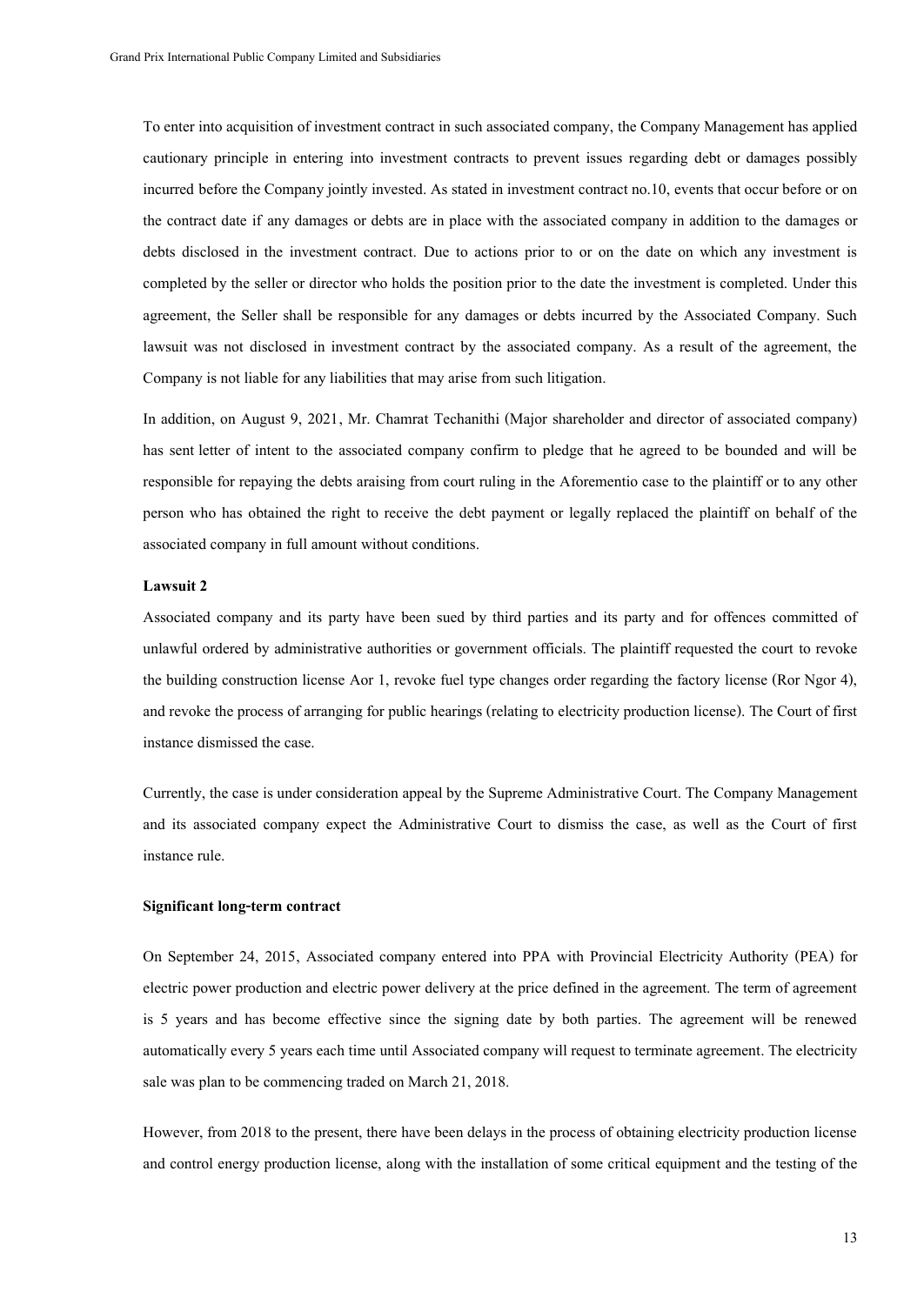To enter into acquisition of investment contract in such associated company, the Company Management has applied cautionary principle in entering into investment contracts to prevent issues regarding debt or damages possibly incurred before the Company jointly invested. As stated in investment contract no.10, events that occur before or on the contract date if any damages or debts are in place with the associated company in addition to the damages or debts disclosed in the investment contract. Due to actions prior to or on the date on which any investment is completed by the seller or director who holds the position prior to the date the investment is completed. Under this agreement, the Seller shall be responsible for any damages or debts incurred by the Associated Company. Such lawsuit was not disclosed in investment contract by the associated company. As a result of the agreement, the Company is not liable for any liabilities that may arise from such litigation.

In addition, on August 9, 2021, Mr. Chamrat Techanithi (Major shareholder and director of associated company) has sent letter of intent to the associated company confirm to pledge that he agreed to be bounded and will be responsible for repaying the debts araising from court ruling in the Aforementio case to the plaintiff or to any other person who has obtained the right to receive the debt payment or legally replaced the plaintiff on behalf of the associated company in full amount without conditions.

#### **Lawsuit 2**

Associated company and its party have been sued by third parties and its party and for offences committed of unlawful ordered by administrative authorities or government officials. The plaintiff requested the court to revoke the building construction license Aor 1, revoke fuel type changes order regarding the factory license (Ror Ngor 4), and revoke the process of arranging for public hearings (relating to electricity production license). The Court of first instance dismissed the case.

Currently, the case is under consideration appeal by the Supreme Administrative Court. The Company Management and its associated company expect the Administrative Court to dismiss the case, as well as the Court of first instance rule.

#### **Significant long-term contract**

On September 24, 2015, Associated company entered into PPA with Provincial Electricity Authority (PEA) for electric power production and electric power delivery at the price defined in the agreement. The term of agreement is 5 years and has become effective since the signing date by both parties. The agreement will be renewed automatically every 5 years each time until Associated company will request to terminate agreement. The electricity sale was plan to be commencing traded on March 21, 2018.

However, from 2018 to the present, there have been delays in the process of obtaining electricity production license and control energy production license, along with the installation of some critical equipment and the testing of the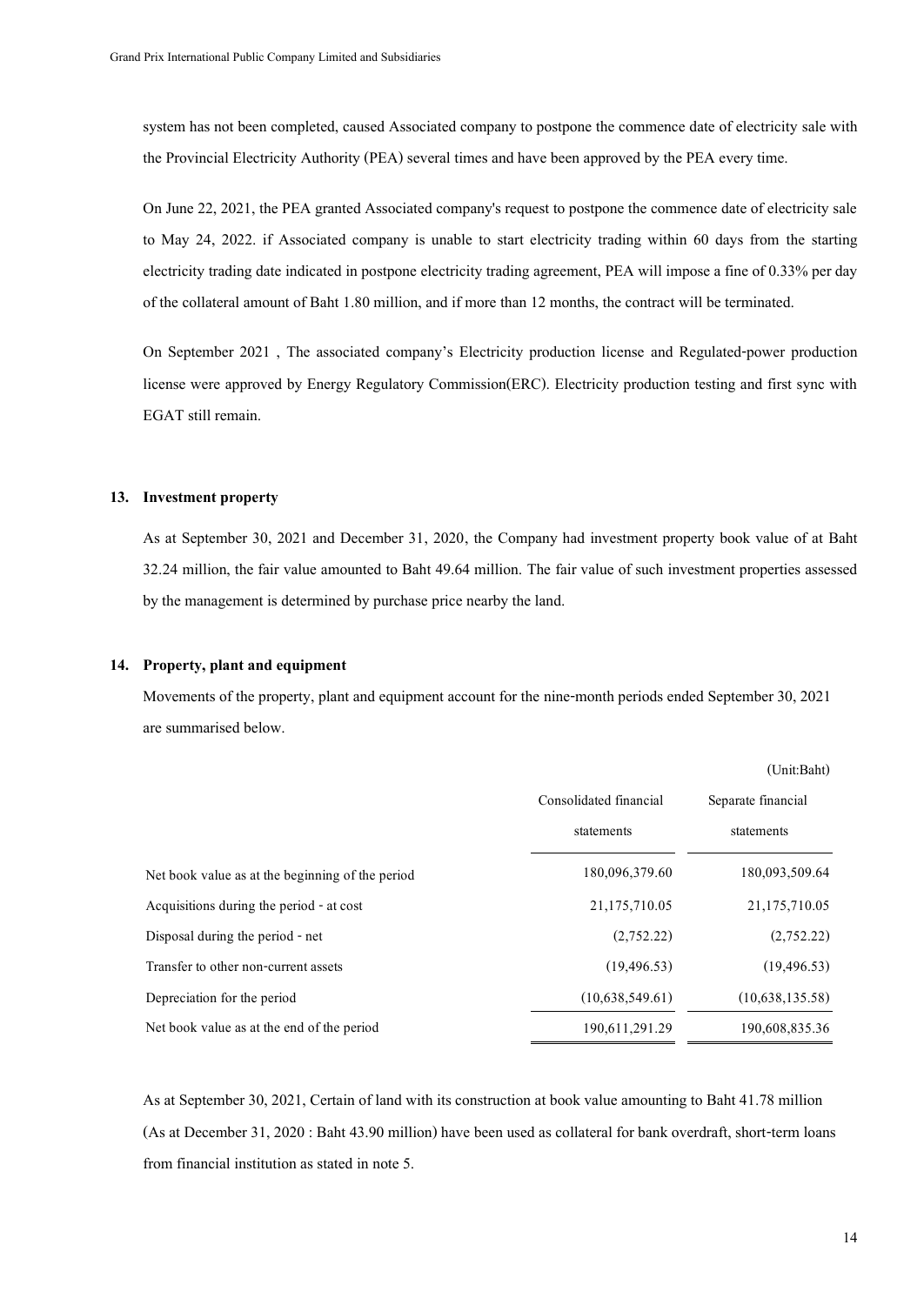system has not been completed, caused Associated company to postpone the commence date of electricity sale with the Provincial Electricity Authority (PEA) several times and have been approved by the PEA every time.

On June 22, 2021, the PEA granted Associated company's request to postpone the commence date of electricity sale to May 24, 2022. if Associated company is unable to start electricity trading within 60 days from the starting electricity trading date indicated in postpone electricity trading agreement, PEA will impose a fine of 0.33% per day of the collateral amount of Baht 1.80 million, and if more than 12 months, the contract will be terminated.

On September 2021 , The associated company's Electricity production license and Regulated-power production license were approved by Energy Regulatory Commission(ERC). Electricity production testing and first sync with EGAT still remain.

#### **13. Investment property**

As at September 30, 2021 and December 31, 2020, the Company had investment property book value of at Baht 32.24 million, the fair value amounted to Baht 49.64 million. The fair value of such investment properties assessed by the management is determined by purchase price nearby the land.

#### **14. Property, plant and equipment**

Movements of the property, plant and equipment account for the nine-month periods ended September 30, 2021 are summarised below.

|                                                  |                        | (Unit:Baht)        |
|--------------------------------------------------|------------------------|--------------------|
|                                                  | Consolidated financial | Separate financial |
|                                                  | statements             | statements         |
| Net book value as at the beginning of the period | 180,096,379.60         | 180,093,509.64     |
| Acquisitions during the period - at cost         | 21,175,710.05          | 21,175,710.05      |
| Disposal during the period - net                 | (2,752,22)             | (2,752.22)         |
| Transfer to other non-current assets             | (19, 496, 53)          | (19, 496, 53)      |
| Depreciation for the period                      | (10,638,549.61)        | (10,638,135.58)    |
| Net book value as at the end of the period       | 190,611,291.29         | 190,608,835.36     |
|                                                  |                        |                    |

As at September 30, 2021, Certain of land with its construction at book value amounting to Baht 41.78 million (As at December 31, 2020 : Baht 43.90 million) have been used as collateral for bank overdraft, short-term loans from financial institution as stated in note 5.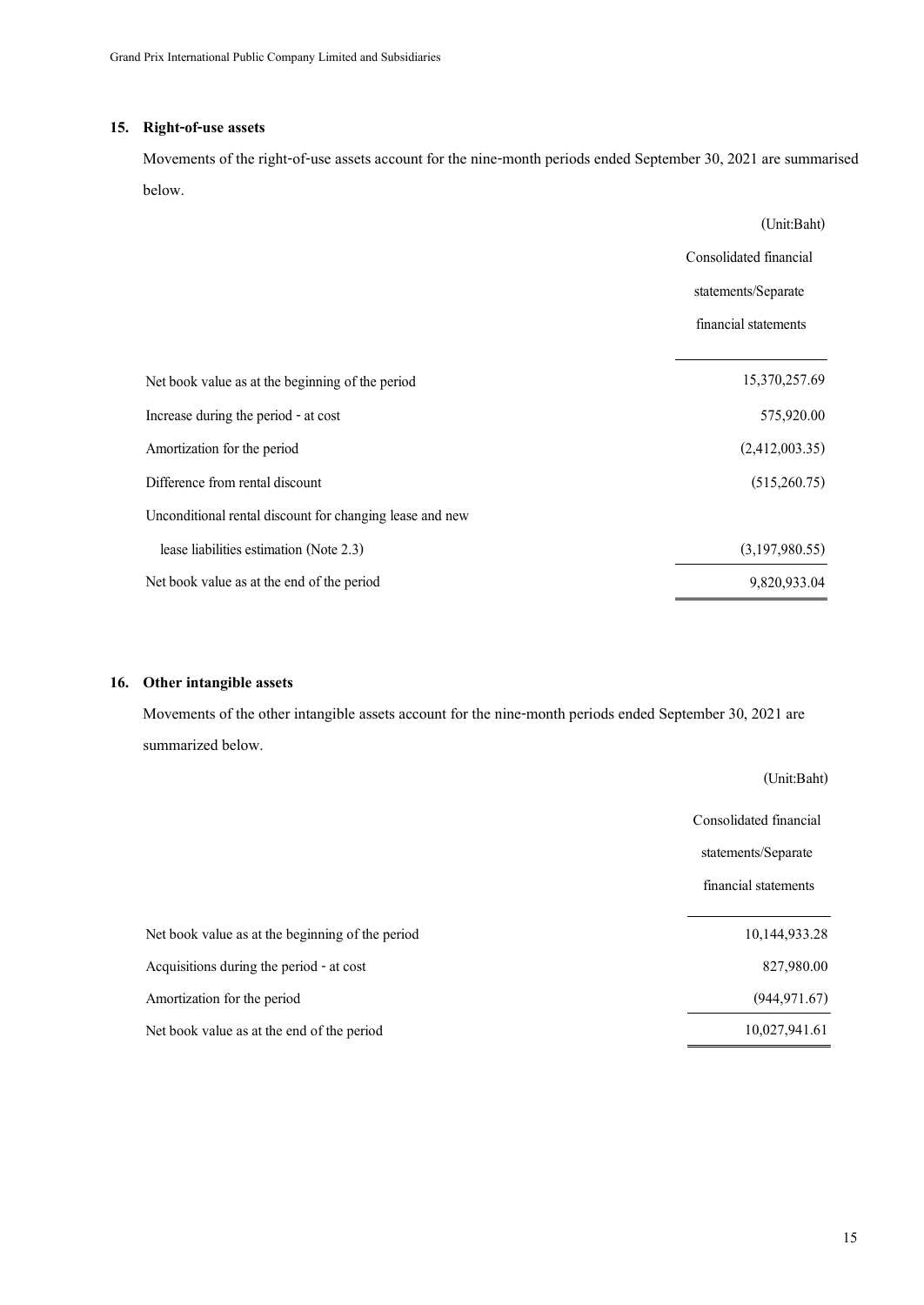### **15. Right-of-use assets**

Movements of the right-of-use assets account for the nine-month periods ended September 30, 2021 are summarised below.

|                                                          | (Unit:Baht)            |
|----------------------------------------------------------|------------------------|
|                                                          | Consolidated financial |
|                                                          | statements/Separate    |
|                                                          | financial statements   |
|                                                          |                        |
| Net book value as at the beginning of the period         | 15,370,257.69          |
| Increase during the period - at cost                     | 575,920.00             |
| Amortization for the period                              | (2,412,003.35)         |
| Difference from rental discount                          | (515,260.75)           |
| Unconditional rental discount for changing lease and new |                        |
| lease liabilities estimation (Note 2.3)                  | (3,197,980.55)         |
| Net book value as at the end of the period               | 9,820,933,04           |

### **16. Other intangible assets**

Movements of the other intangible assets account for the nine-month periods ended September 30, 2021 are summarized below.

|                                                  | (Unit:Baht)            |
|--------------------------------------------------|------------------------|
|                                                  | Consolidated financial |
|                                                  | statements/Separate    |
|                                                  | financial statements   |
| Net book value as at the beginning of the period | 10,144,933.28          |
| Acquisitions during the period - at cost         | 827,980.00             |
| Amortization for the period                      | (944, 971.67)          |
| Net book value as at the end of the period       | 10,027,941.61          |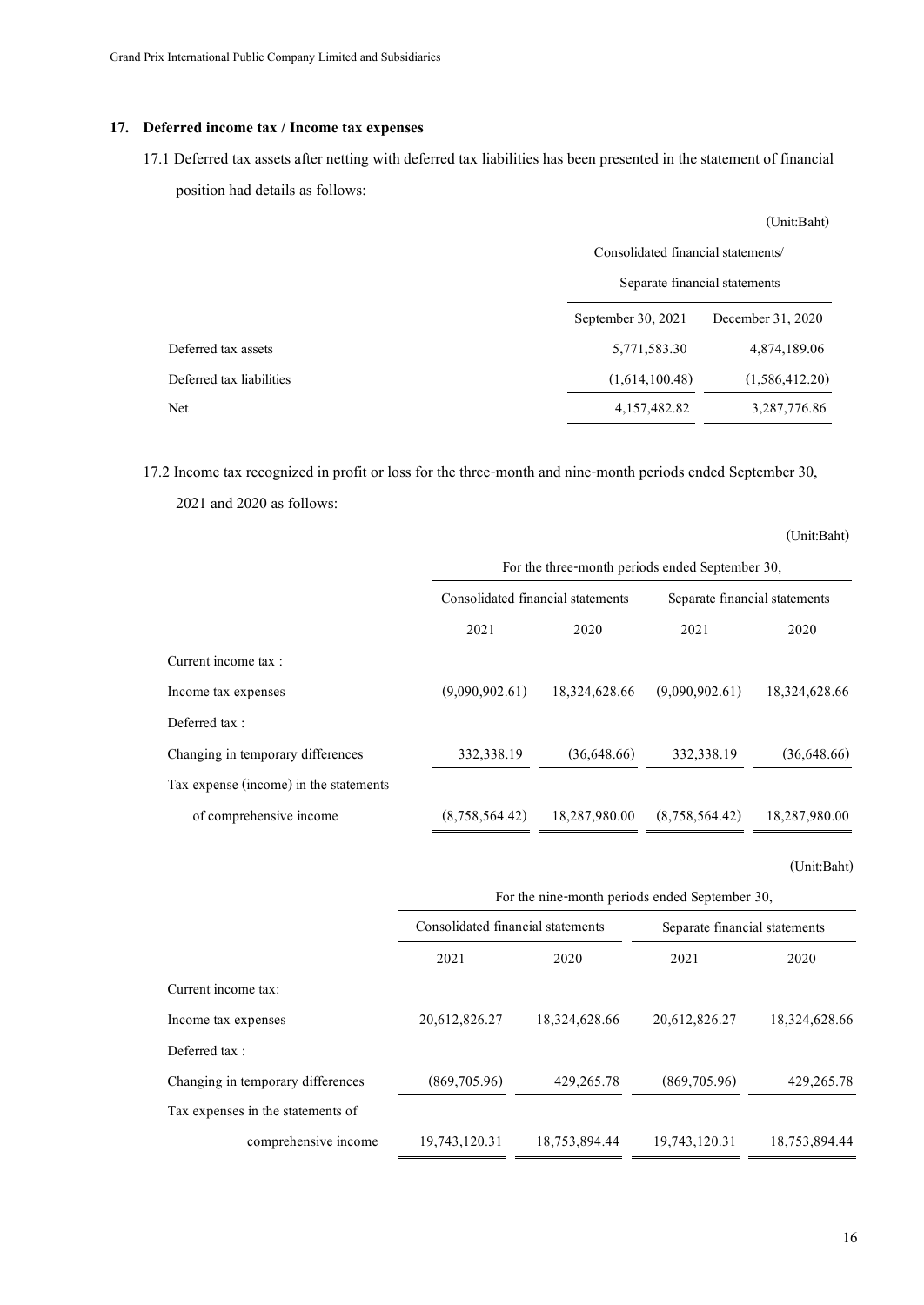### **17. Deferred income tax / Income tax expenses**

17.1 Deferred tax assets after netting with deferred tax liabilities has been presented in the statement of financial position had details as follows:

|                          | (Unit:Baht)                                                         |                   |  |  |
|--------------------------|---------------------------------------------------------------------|-------------------|--|--|
|                          | Consolidated financial statements/<br>Separate financial statements |                   |  |  |
|                          |                                                                     |                   |  |  |
|                          | September 30, 2021                                                  | December 31, 2020 |  |  |
| Deferred tax assets      | 5,771,583.30                                                        | 4,874,189.06      |  |  |
| Deferred tax liabilities | (1,614,100.48)                                                      | (1,586,412.20)    |  |  |
| Net                      | 4,157,482.82                                                        | 3,287,776.86      |  |  |

| 17.2 Income tax recognized in profit or loss for the three-month and nine-month periods ended September 30, |                                                |               |                                                 |               |  |
|-------------------------------------------------------------------------------------------------------------|------------------------------------------------|---------------|-------------------------------------------------|---------------|--|
| 2021 and 2020 as follows:                                                                                   |                                                |               |                                                 |               |  |
|                                                                                                             |                                                |               |                                                 | (Unit:Baht)   |  |
|                                                                                                             |                                                |               | For the three-month periods ended September 30, |               |  |
|                                                                                                             | Consolidated financial statements              |               | Separate financial statements                   |               |  |
|                                                                                                             | 2021                                           | 2020          | 2021                                            | 2020          |  |
| Current income tax :                                                                                        |                                                |               |                                                 |               |  |
| Income tax expenses                                                                                         | (9,090,902.61)                                 | 18,324,628.66 | (9,090,902.61)                                  | 18,324,628.66 |  |
| Deferred tax:                                                                                               |                                                |               |                                                 |               |  |
| Changing in temporary differences                                                                           | 332,338.19                                     | (36,648.66)   | 332,338.19                                      | (36,648.66)   |  |
| Tax expense (income) in the statements                                                                      |                                                |               |                                                 |               |  |
| of comprehensive income                                                                                     | (8,758,564.42)                                 | 18,287,980.00 | (8,758,564.42)                                  | 18,287,980.00 |  |
|                                                                                                             |                                                |               |                                                 | (Unit:Baht)   |  |
|                                                                                                             | For the nine-month periods ended September 30, |               |                                                 |               |  |
|                                                                                                             | Consolidated financial statements              |               | Senarate financial statements                   |               |  |

|                                   | Consolidated financial statements |               | Separate financial statements |               |
|-----------------------------------|-----------------------------------|---------------|-------------------------------|---------------|
|                                   | 2021                              | 2020          | 2021                          | 2020          |
| Current income tax:               |                                   |               |                               |               |
| Income tax expenses               | 20,612,826.27                     | 18,324,628.66 | 20,612,826.27                 | 18,324,628.66 |
| Deferred tax:                     |                                   |               |                               |               |
| Changing in temporary differences | (869,705.96)                      | 429, 265, 78  | (869,705.96)                  | 429, 265. 78  |
| Tax expenses in the statements of |                                   |               |                               |               |
| comprehensive income              | 19,743,120.31                     | 18,753,894.44 | 19,743,120.31                 | 18,753,894.44 |
|                                   |                                   |               |                               |               |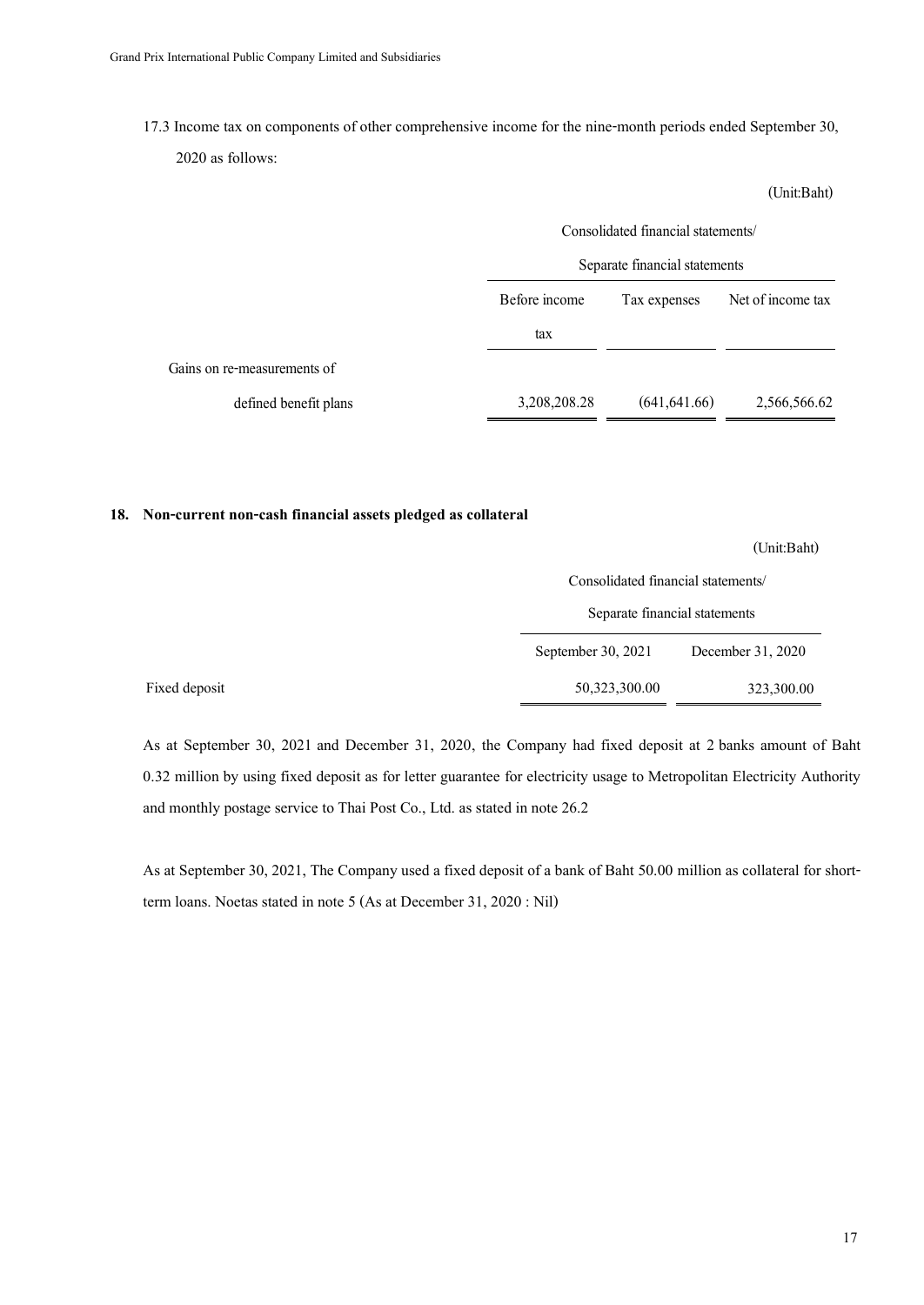17.3 Income tax on components of other comprehensive income for the nine-month periods ended September 30,

2020 as follows:

|                             | Consolidated financial statements/<br>Separate financial statements |               |                   |
|-----------------------------|---------------------------------------------------------------------|---------------|-------------------|
|                             | Before income                                                       | Tax expenses  | Net of income tax |
|                             | tax                                                                 |               |                   |
| Gains on re-measurements of |                                                                     |               |                   |
| defined benefit plans       | 3,208,208.28                                                        | (641, 641.66) | 2,566,566.62      |

### **18. Non-current non-cash financial assets pledged as collateral**

(Unit:Baht)

(Unit:Baht)

| Consolidated financial statements/ |
|------------------------------------|
|                                    |

| Separate financial statements<br>September 30, $2021$ |                   |
|-------------------------------------------------------|-------------------|
|                                                       | December 31, 2020 |
| 50,323,300.00                                         | 323,300.00        |

As at September 30, 2021 and December 31, 2020, the Company had fixed deposit at 2 banks amount of Baht 0.32 million by using fixed deposit as for letter guarantee for electricity usage to Metropolitan Electricity Authority and monthly postage service to Thai Post Co., Ltd. as stated in note 26.2

As at September 30, 2021, The Company used a fixed deposit of a bank of Baht 50.00 million as collateral for shortterm loans. Noetas stated in note 5 (As at December 31, 2020 : Nil)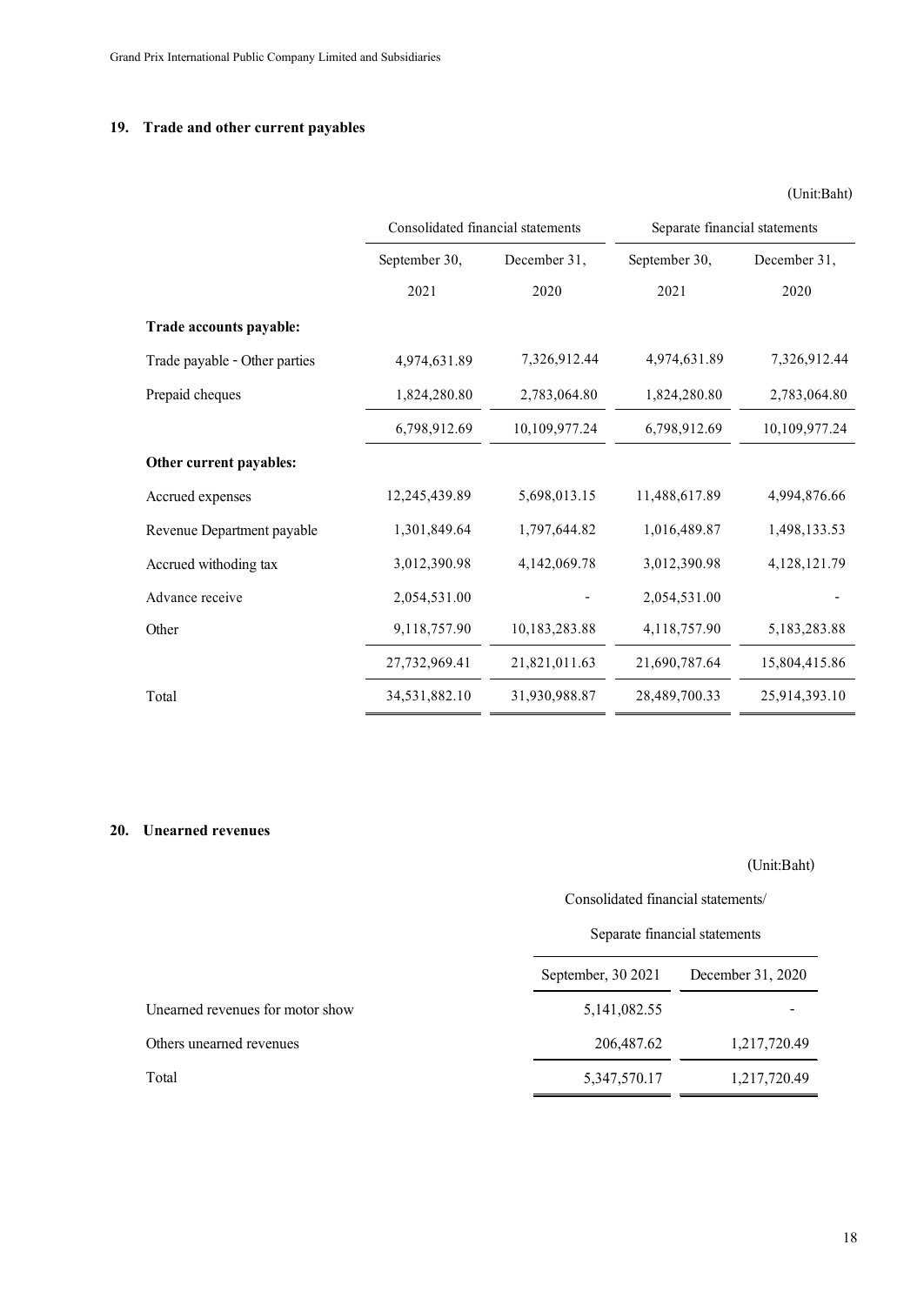### **19. Trade and other current payables**

|                               |                                   |               |                               | (Unit:Baht)   |
|-------------------------------|-----------------------------------|---------------|-------------------------------|---------------|
|                               | Consolidated financial statements |               | Separate financial statements |               |
|                               | September 30,                     | December 31,  | September 30,                 | December 31,  |
|                               | 2021                              | 2020          | 2021                          | 2020          |
| Trade accounts payable:       |                                   |               |                               |               |
| Trade payable - Other parties | 4,974,631.89                      | 7,326,912.44  | 4,974,631.89                  | 7,326,912.44  |
| Prepaid cheques               | 1,824,280.80                      | 2,783,064.80  | 1,824,280.80                  | 2,783,064.80  |
|                               | 6,798,912.69                      | 10,109,977.24 | 6,798,912.69                  | 10,109,977.24 |
| Other current payables:       |                                   |               |                               |               |
| Accrued expenses              | 12,245,439.89                     | 5,698,013.15  | 11,488,617.89                 | 4,994,876.66  |
| Revenue Department payable    | 1,301,849.64                      | 1,797,644.82  | 1,016,489.87                  | 1,498,133.53  |
| Accrued withoding tax         | 3,012,390.98                      | 4,142,069.78  | 3,012,390.98                  | 4,128,121.79  |
| Advance receive               | 2,054,531.00                      |               | 2,054,531.00                  |               |
| Other                         | 9,118,757.90                      | 10,183,283.88 | 4,118,757.90                  | 5,183,283.88  |
|                               | 27,732,969.41                     | 21,821,011.63 | 21,690,787.64                 | 15,804,415.86 |
| Total                         | 34,531,882.10                     | 31,930,988.87 | 28,489,700.33                 | 25,914,393.10 |
|                               |                                   |               |                               |               |

### **20. Unearned revenues**

## (Unit:Baht)

Consolidated financial statements/

## Separate financial statements

| September, 30 2021 | December 31, 2020 |
|--------------------|-------------------|
| 5, 141, 082. 55    |                   |
| 206,487.62         | 1,217,720.49      |
| 5, 347, 570. 17    | 1,217,720.49      |
|                    |                   |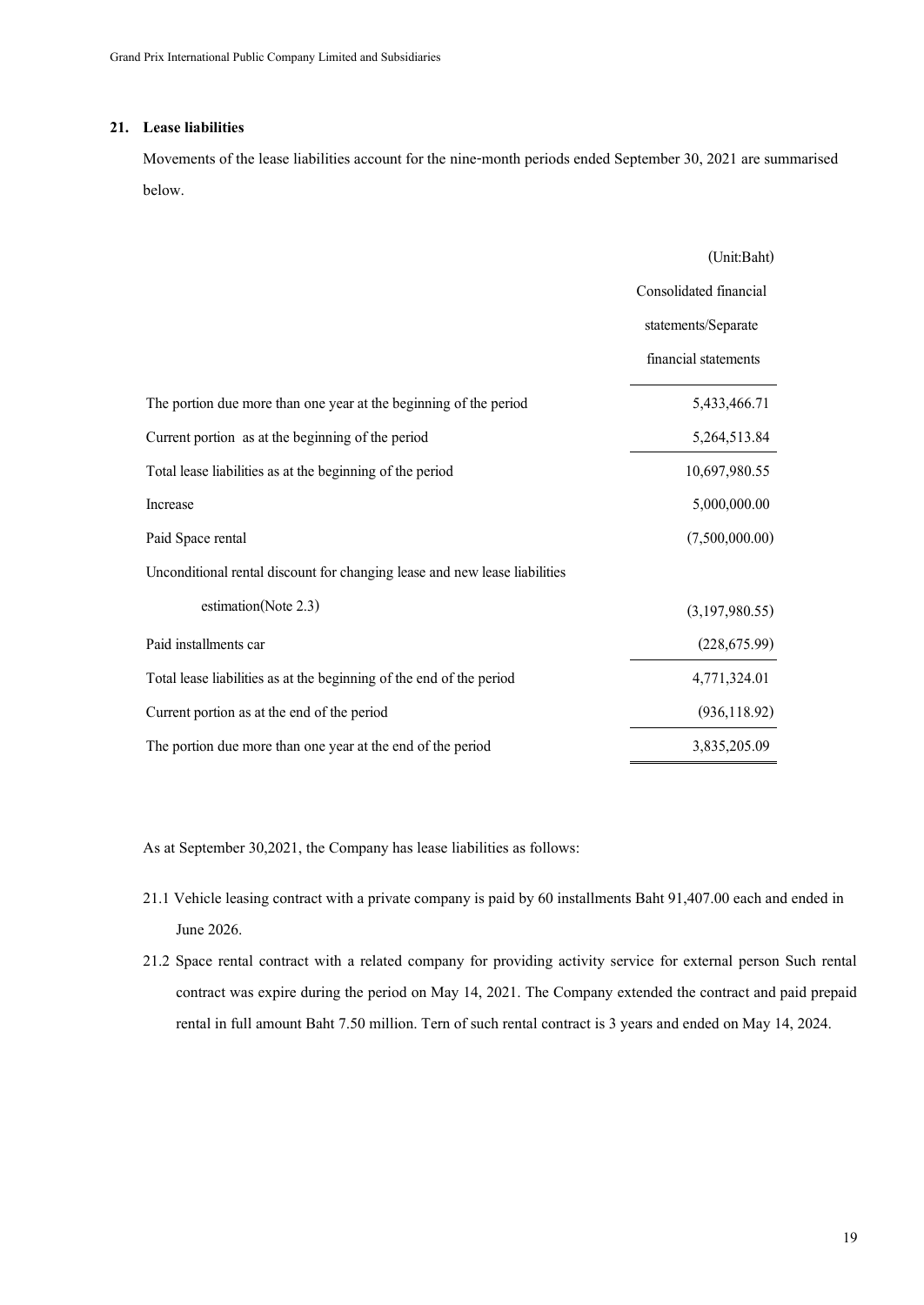### **21. Lease liabilities**

Movements of the lease liabilities account for the nine-month periods ended September30, 2021 are summarised below.

|                                                                            | (Unit:Baht)            |
|----------------------------------------------------------------------------|------------------------|
|                                                                            | Consolidated financial |
|                                                                            | statements/Separate    |
|                                                                            | financial statements   |
| The portion due more than one year at the beginning of the period          | 5,433,466.71           |
| Current portion as at the beginning of the period                          | 5,264,513.84           |
| Total lease liabilities as at the beginning of the period                  | 10,697,980.55          |
| Increase                                                                   | 5,000,000.00           |
| Paid Space rental                                                          | (7,500,000.00)         |
| Unconditional rental discount for changing lease and new lease liabilities |                        |
| estimation(Note 2.3)                                                       | (3,197,980.55)         |
| Paid installments car                                                      | (228, 675.99)          |
| Total lease liabilities as at the beginning of the end of the period       | 4,771,324.01           |
| Current portion as at the end of the period                                | (936, 118.92)          |
| The portion due more than one year at the end of the period                | 3,835,205.09           |

As at September 30,2021, the Company has lease liabilities as follows:

- 21.1 Vehicle leasing contract with a private company is paid by 60 installments Baht 91,407.00 each and ended in June 2026.
- 21.2 Space rental contract with a related company for providing activity service for external person Such rental contract was expire during the period on May 14, 2021. The Company extended the contract and paid prepaid rental in full amount Baht 7.50 million. Tern of such rental contract is 3 years and ended on May 14, 2024.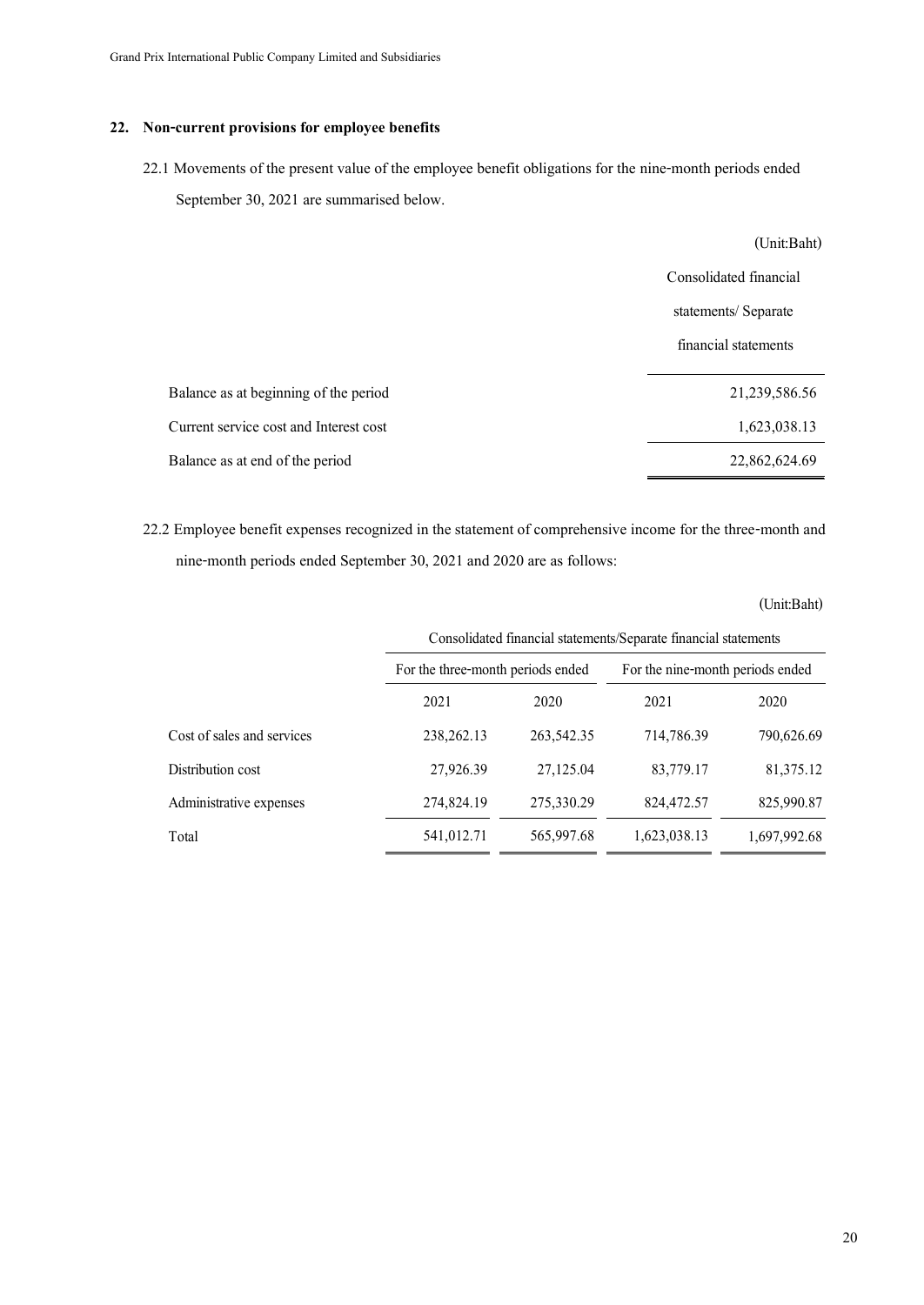### **22. Non-current provisions for employee benefits**

22.1 Movements of the present value of the employee benefit obligations for the nine-month periods ended September 30, 2021 are summarised below.

|                                        | (Unit:Baht)            |
|----------------------------------------|------------------------|
|                                        | Consolidated financial |
|                                        | statements/Separate    |
|                                        | financial statements   |
| Balance as at beginning of the period  | 21,239,586.56          |
| Current service cost and Interest cost | 1,623,038.13           |
| Balance as at end of the period        | 22,862,624.69          |

22.2 Employee benefit expenses recognized in the statement of comprehensive income for the three-month and nine-month periods ended September 30, 2021 and 2020 are as follows:

|                            | Consolidated financial statements/Separate financial statements |              |                                  |              |
|----------------------------|-----------------------------------------------------------------|--------------|----------------------------------|--------------|
|                            | For the three-month periods ended                               |              | For the nine-month periods ended |              |
|                            | 2021                                                            | 2020         | 2021                             | 2020         |
| Cost of sales and services | 238, 262, 13                                                    | 263, 542. 35 | 714,786.39                       | 790,626.69   |
| Distribution cost          | 27,926.39                                                       | 27,125.04    | 83,779.17                        | 81,375.12    |
| Administrative expenses    | 274,824.19                                                      | 275,330.29   | 824,472.57                       | 825,990.87   |
| Total                      | 541,012.71                                                      | 565,997.68   | 1,623,038.13                     | 1,697,992.68 |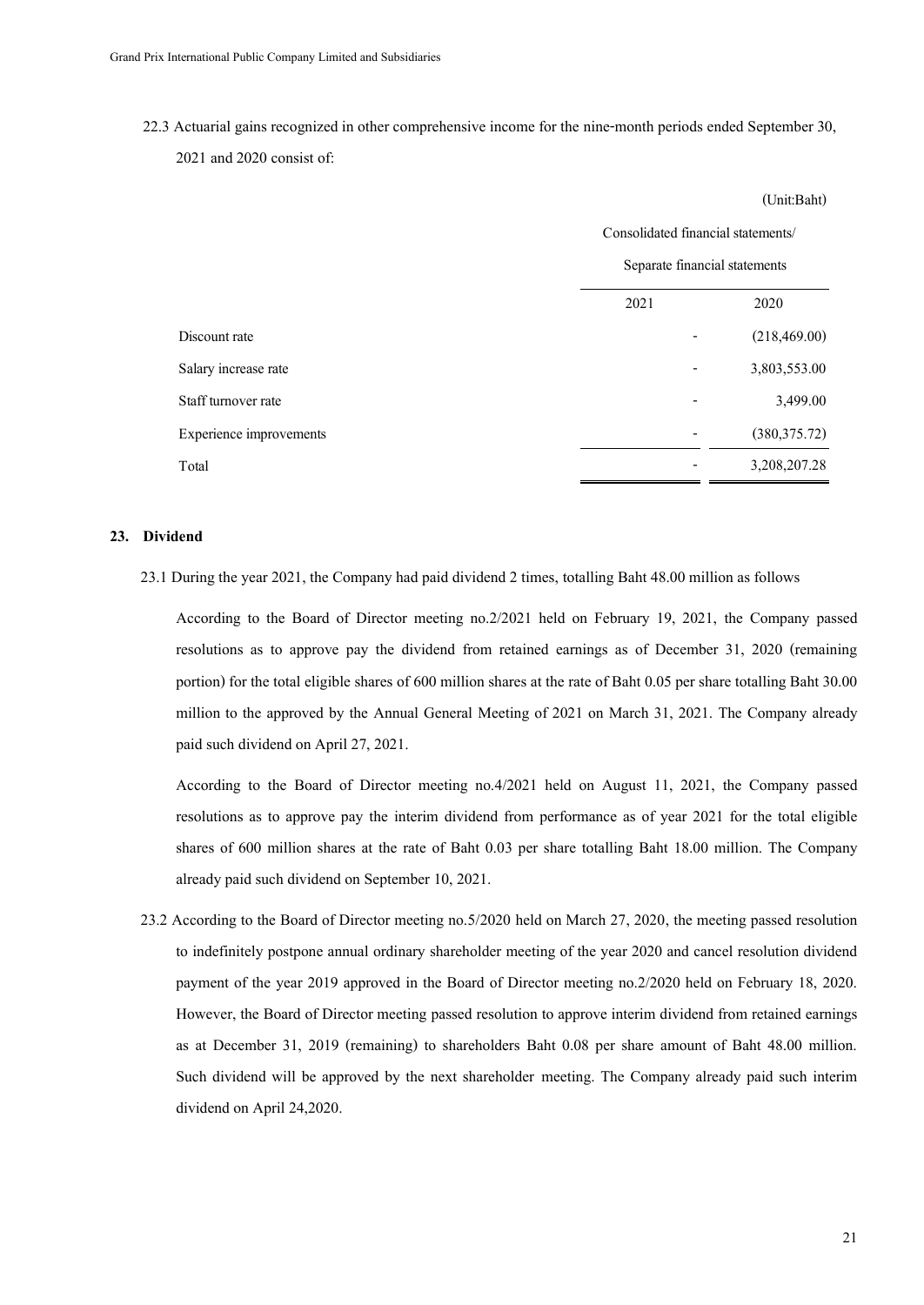22.3 Actuarial gains recognized in other comprehensive income for the nine-month periods ended September 30,

```
2021 and 2020 consist of:
```

|                         |      | Consolidated financial statements/ |  |  |
|-------------------------|------|------------------------------------|--|--|
|                         |      | Separate financial statements      |  |  |
|                         | 2021 | 2020                               |  |  |
| Discount rate           |      | (218, 469.00)                      |  |  |
| Salary increase rate    |      | 3,803,553.00                       |  |  |
| Staff turnover rate     |      | 3,499.00                           |  |  |
| Experience improvements |      | (380, 375.72)                      |  |  |
| Total                   |      | 3,208,207.28                       |  |  |
|                         |      |                                    |  |  |

### **23. Dividend**

23.1 During the year 2021, the Company had paid dividend 2 times, totalling Baht 48.00 million as follows

According to the Board of Director meeting no.2/2021 held on February 19, 2021, the Company passed resolutions as to approve pay the dividend from retained earnings as of December 31, 2020 (remaining portion) for the total eligible shares of 600 million shares at the rate of Baht 0.05 per share totalling Baht 30.00 million to the approved by the Annual General Meeting of 2021 on March 31, 2021. The Company already paid such dividend on April 27, 2021.

According to the Board of Director meeting no.4/2021 held on August 11, 2021, the Company passed resolutions as to approve pay the interim dividend from performance as of year 2021 for the total eligible shares of 600 million shares at the rate of Baht 0.03 per share totalling Baht 18.00 million. The Company already paid such dividend on September 10, 2021.

 23.2 According to the Board of Director meeting no.5/2020 held on March 27, 2020, the meeting passed resolution to indefinitely postpone annual ordinary shareholder meeting of the year 2020 and cancel resolution dividend payment of the year 2019 approved in the Board of Director meeting no.2/2020 held on February 18, 2020. However, the Board of Director meeting passed resolution to approve interim dividend from retained earnings as at December 31, 2019 (remaining) to shareholders Baht 0.08 per share amount of Baht 48.00 million. Such dividend will be approved by the next shareholder meeting. The Company already paid such interim dividend on April 24,2020.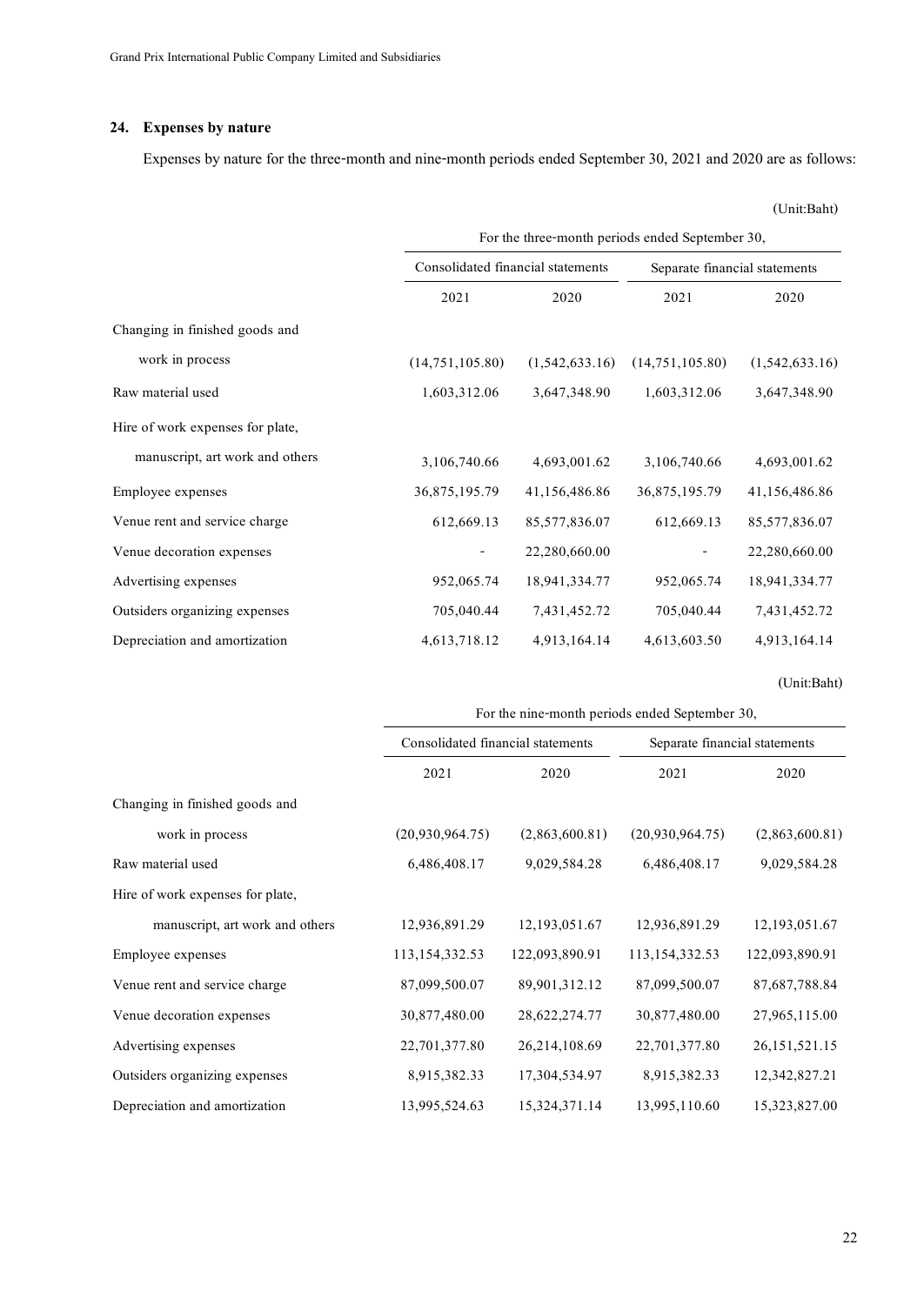### **24. Expenses by nature**

Expenses by nature for the three-month and nine-month periods ended September 30, 2021 and 2020 are as follows:

(Unit:Baht)

|                                  | For the three-month periods ended September 30,                    |                |                               |                |
|----------------------------------|--------------------------------------------------------------------|----------------|-------------------------------|----------------|
|                                  | Consolidated financial statements                                  |                | Separate financial statements |                |
|                                  | 2021                                                               | 2020           | 2021                          | 2020           |
| Changing in finished goods and   |                                                                    |                |                               |                |
| work in process                  | (14,751,105.80)                                                    | (1,542,633.16) | (14,751,105.80)               | (1,542,633.16) |
| Raw material used                | 1,603,312.06                                                       | 3,647,348.90   | 1,603,312.06                  | 3,647,348.90   |
| Hire of work expenses for plate, |                                                                    |                |                               |                |
| manuscript, art work and others  | 3,106,740.66                                                       | 4,693,001.62   | 3,106,740.66                  | 4,693,001.62   |
| Employee expenses                | 36,875,195.79                                                      | 41,156,486.86  | 36,875,195.79                 | 41,156,486.86  |
| Venue rent and service charge    | 612,669.13                                                         | 85,577,836.07  | 612,669.13                    | 85,577,836.07  |
| Venue decoration expenses        |                                                                    | 22,280,660.00  |                               | 22,280,660.00  |
| Advertising expenses             | 952,065.74                                                         | 18,941,334.77  | 952,065.74                    | 18,941,334.77  |
| Outsiders organizing expenses    | 705,040.44                                                         | 7,431,452.72   | 705,040.44                    | 7,431,452.72   |
| Depreciation and amortization    | 4,613,718.12                                                       | 4,913,164.14   | 4,613,603.50                  | 4,913,164.14   |
|                                  |                                                                    |                |                               | (Unit:Baht)    |
|                                  | For the nine-month periods ended September 30,                     |                |                               |                |
|                                  | Consolidated financial statements<br>Senarate financial statements |                |                               |                |

|                                  | For the nine-month periods ended September 30, |                  |                               |                  |
|----------------------------------|------------------------------------------------|------------------|-------------------------------|------------------|
|                                  | Consolidated financial statements              |                  | Separate financial statements |                  |
|                                  | 2021                                           | 2020             | 2021                          | 2020             |
| Changing in finished goods and   |                                                |                  |                               |                  |
| work in process                  | (20,930,964.75)                                | (2,863,600.81)   | (20,930,964.75)               | (2,863,600.81)   |
| Raw material used                | 6,486,408.17                                   | 9,029,584.28     | 6,486,408.17                  | 9,029,584.28     |
| Hire of work expenses for plate, |                                                |                  |                               |                  |
| manuscript, art work and others  | 12,936,891.29                                  | 12, 193, 051. 67 | 12,936,891.29                 | 12, 193, 051. 67 |
| Employee expenses                | 113, 154, 332. 53                              | 122,093,890.91   | 113,154,332.53                | 122,093,890.91   |
| Venue rent and service charge    | 87,099,500.07                                  | 89,901,312.12    | 87,099,500.07                 | 87,687,788.84    |
| Venue decoration expenses        | 30,877,480.00                                  | 28,622,274.77    | 30,877,480.00                 | 27,965,115.00    |
| Advertising expenses             | 22,701,377.80                                  | 26,214,108.69    | 22,701,377.80                 | 26, 151, 521. 15 |
| Outsiders organizing expenses    | 8,915,382.33                                   | 17,304,534.97    | 8,915,382.33                  | 12,342,827.21    |
| Depreciation and amortization    | 13,995,524.63                                  | 15,324,371.14    | 13,995,110.60                 | 15,323,827.00    |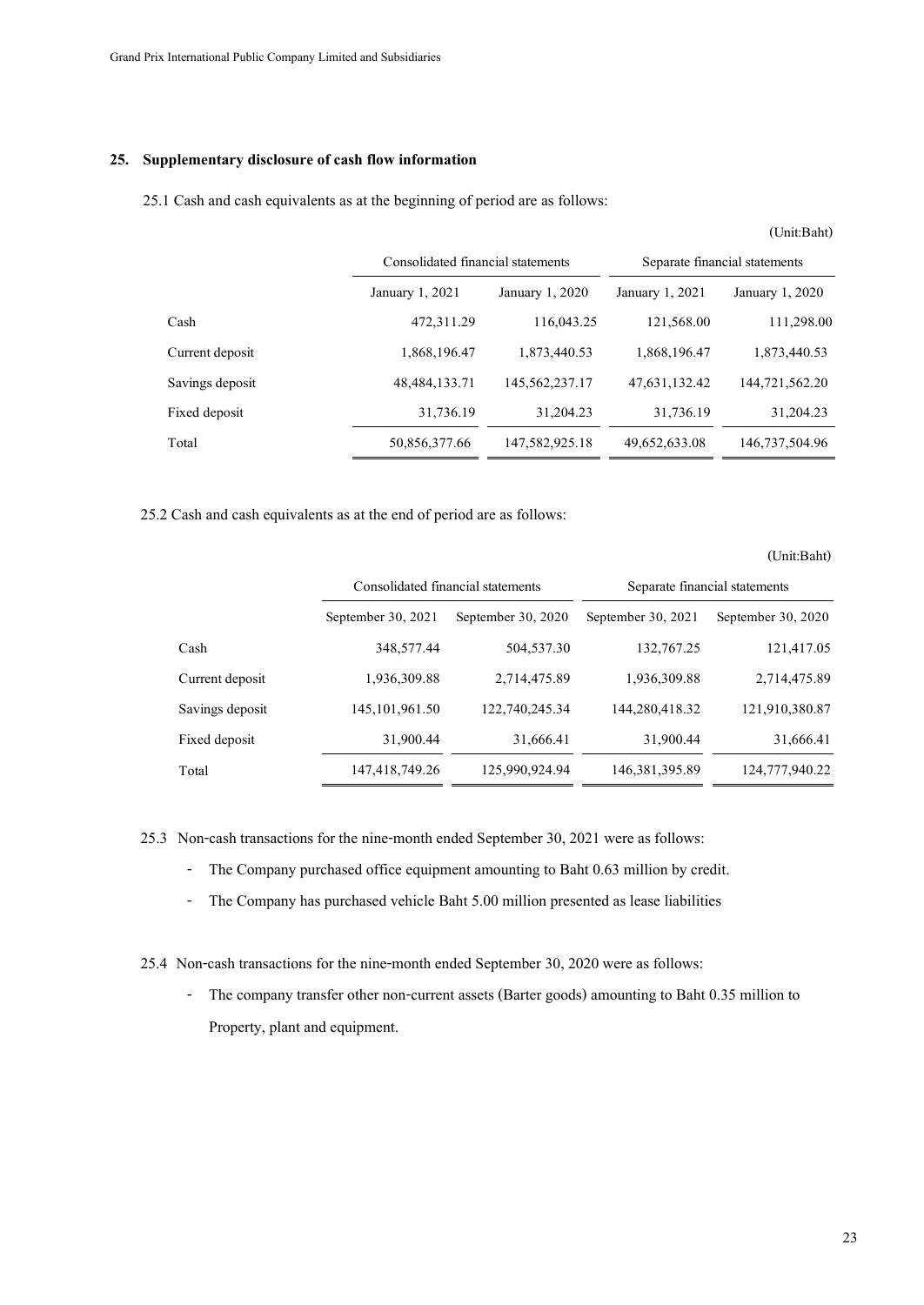### **25. Supplementary disclosure of cash flow information**

25.1 Cash and cash equivalents as at the beginning of period are as follows:

|                 |                  | Consolidated financial statements |                 | Separate financial statements |
|-----------------|------------------|-----------------------------------|-----------------|-------------------------------|
|                 | January 1, 2021  | January 1, 2020                   | January 1, 2021 | January 1, 2020               |
| Cash            | 472,311.29       | 116,043.25                        | 121,568.00      | 111,298.00                    |
| Current deposit | 1,868,196.47     | 1,873,440.53                      | 1,868,196.47    | 1,873,440.53                  |
| Savings deposit | 48, 484, 133. 71 | 145,562,237.17                    | 47,631,132.42   | 144,721,562.20                |
| Fixed deposit   | 31,736.19        | 31,204.23                         | 31,736.19       | 31,204.23                     |
| Total           | 50,856,377.66    | 147,582,925.18                    | 49,652,633.08   | 146,737,504.96                |

25.2 Cash and cash equivalents as at the end of period are as follows:

(Unit:Baht)

|                 |                                   |                    |                               | (Unit:Baht)          |
|-----------------|-----------------------------------|--------------------|-------------------------------|----------------------|
|                 | Consolidated financial statements |                    | Separate financial statements |                      |
|                 | September 30, 2021                | September 30, 2020 | September 30, 2021            | September 30, $2020$ |
| Cash            | 348,577.44                        | 504,537.30         | 132,767.25                    | 121,417.05           |
| Current deposit | 1,936,309.88                      | 2,714,475.89       | 1,936,309.88                  | 2,714,475.89         |
| Savings deposit | 145, 101, 961. 50                 | 122,740,245.34     | 144,280,418.32                | 121,910,380.87       |
| Fixed deposit   | 31,900.44                         | 31,666.41          | 31,900.44                     | 31,666.41            |
| Total           | 147,418,749.26                    | 125,990,924.94     | 146, 381, 395.89              | 124,777,940.22       |

25.3 Non-cash transactions for the nine-month ended September 30, 2021 were as follows:

- The Company purchased office equipment amounting to Baht 0.63 million by credit.
- The Company has purchased vehicle Baht 5.00 million presented as lease liabilities
- 25.4 Non-cash transactions for the nine-monthended September 30, 2020 were as follows:
	- The company transfer other non-current assets (Barter goods) amounting to Baht 0.35 million to Property, plant and equipment.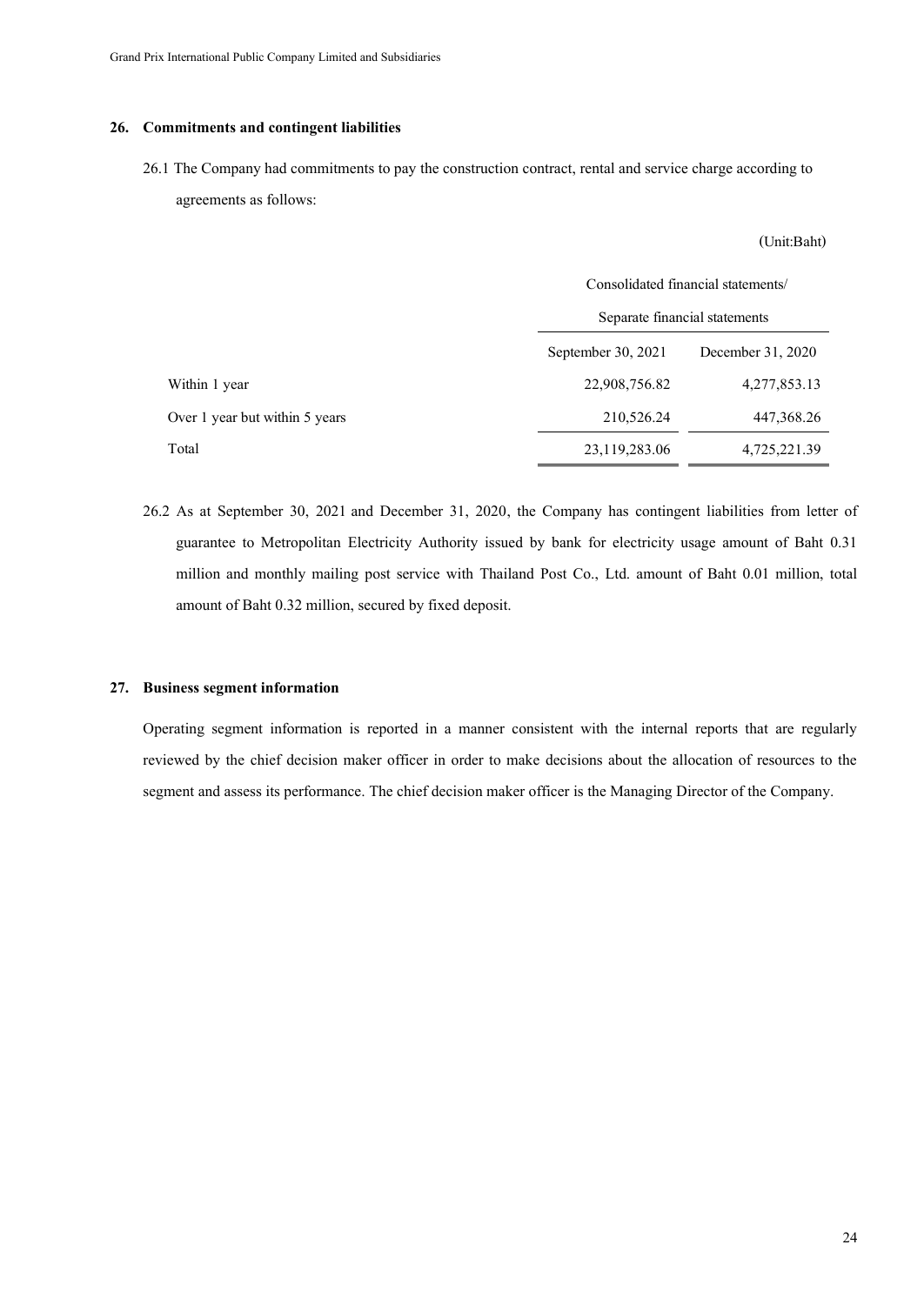### **26. Commitments and contingent liabilities**

26.1 The Company had commitments to pay the construction contract, rental and service charge according to agreements as follows:

(Unit:Baht)

|                                |                    | Consolidated financial statements/ |  |  |  |
|--------------------------------|--------------------|------------------------------------|--|--|--|
|                                |                    | Separate financial statements      |  |  |  |
|                                | September 30, 2021 | December 31, 2020                  |  |  |  |
| Within 1 year                  | 22,908,756.82      | 4,277,853.13                       |  |  |  |
| Over 1 year but within 5 years | 210,526.24         | 447,368.26                         |  |  |  |
| Total                          | 23,119,283.06      | 4,725,221.39                       |  |  |  |

26.2 As at September 30, 2021 and December 31, 2020, the Company has contingent liabilities from letter of guarantee to Metropolitan Electricity Authority issued by bank for electricity usage amount of Baht 0.31 million and monthly mailing post service with Thailand Post Co., Ltd. amount of Baht 0.01 million, total amount of Baht 0.32 million, secured by fixed deposit.

### **27. Business segment information**

Operating segment information is reported in a manner consistent with the internal reports that are regularly reviewed by the chief decision maker officer in order to make decisions about the allocation of resources to the segment and assess its performance. The chief decision maker officer is the Managing Director of the Company.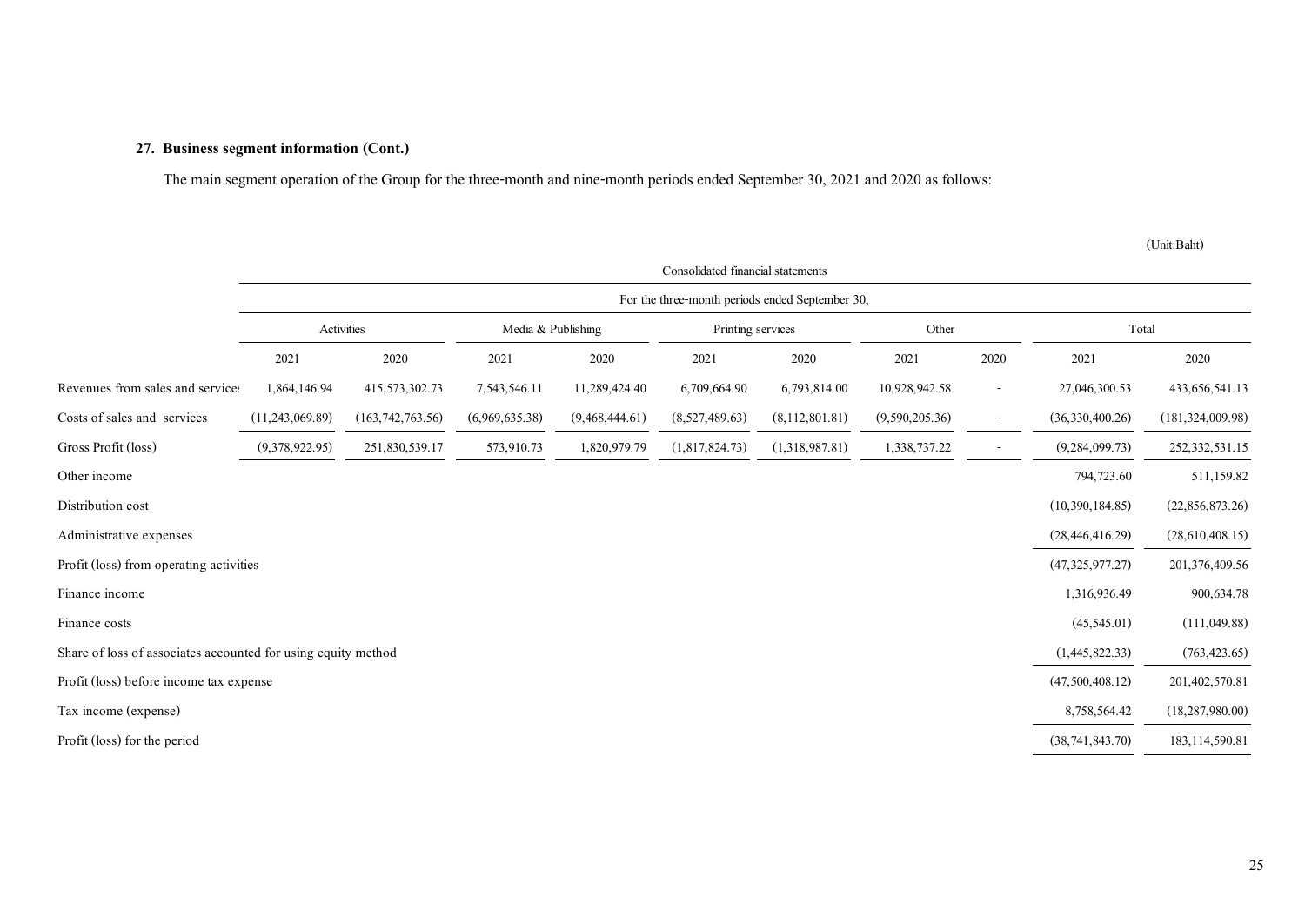## **27. Business segment information(Cont.)**

The main segment operation of the Group for the three-month and nine-month periods ended September 30, 2021 and 2020 as follows:

|                                                               | Consolidated financial statements               |                    |                    |                |                   |                |                |                          |                    |                    |
|---------------------------------------------------------------|-------------------------------------------------|--------------------|--------------------|----------------|-------------------|----------------|----------------|--------------------------|--------------------|--------------------|
|                                                               | For the three-month periods ended September 30, |                    |                    |                |                   |                |                |                          |                    |                    |
|                                                               |                                                 | Activities         | Media & Publishing |                | Printing services |                | Other          |                          | Total              |                    |
|                                                               | 2021                                            | 2020               | 2021               | 2020           | 2021              | 2020           | 2021           | 2020                     | 2021               | 2020               |
| Revenues from sales and services                              | 1,864,146.94                                    | 415,573,302.73     | 7,543,546.11       | 11,289,424.40  | 6,709,664.90      | 6,793,814.00   | 10,928,942.58  | $\overline{\phantom{a}}$ | 27,046,300.53      | 433, 656, 541.13   |
| Costs of sales and services                                   | (11, 243, 069.89)                               | (163, 742, 763.56) | (6,969,635.38)     | (9,468,444.61) | (8,527,489.63)    | (8,112,801.81) | (9,590,205.36) | $\overline{\phantom{a}}$ | (36,330,400.26)    | (181, 324, 009.98) |
| Gross Profit (loss)                                           | (9,378,922.95)                                  | 251,830,539.17     | 573,910.73         | 1,820,979.79   | (1,817,824.73)    | (1,318,987.81) | 1,338,737.22   |                          | (9, 284, 099.73)   | 252, 332, 531.15   |
| Other income                                                  |                                                 |                    |                    |                |                   |                |                |                          | 794,723.60         | 511,159.82         |
| Distribution cost                                             |                                                 |                    |                    |                |                   |                |                |                          | (10,390,184.85)    | (22,856,873.26)    |
| Administrative expenses                                       |                                                 |                    |                    |                |                   |                |                |                          | (28, 446, 416, 29) | (28,610,408.15)    |
| Profit (loss) from operating activities                       |                                                 |                    |                    |                |                   |                |                |                          | (47,325,977.27)    | 201,376,409.56     |
| Finance income                                                |                                                 |                    |                    |                |                   |                |                |                          | 1,316,936.49       | 900,634.78         |
| Finance costs                                                 |                                                 |                    |                    |                |                   |                |                |                          | (45,545.01)        | (111, 049.88)      |
| Share of loss of associates accounted for using equity method |                                                 |                    |                    |                |                   |                |                |                          | (1,445,822.33)     | (763, 423.65)      |
| Profit (loss) before income tax expense                       |                                                 |                    |                    |                |                   |                |                |                          | (47,500,408.12)    | 201,402,570.81     |
| Tax income (expense)                                          |                                                 |                    |                    |                |                   |                |                |                          | 8,758,564.42       | (18, 287, 980.00)  |
| Profit (loss) for the period                                  |                                                 |                    |                    |                |                   |                |                |                          | (38, 741, 843.70)  | 183, 114, 590.81   |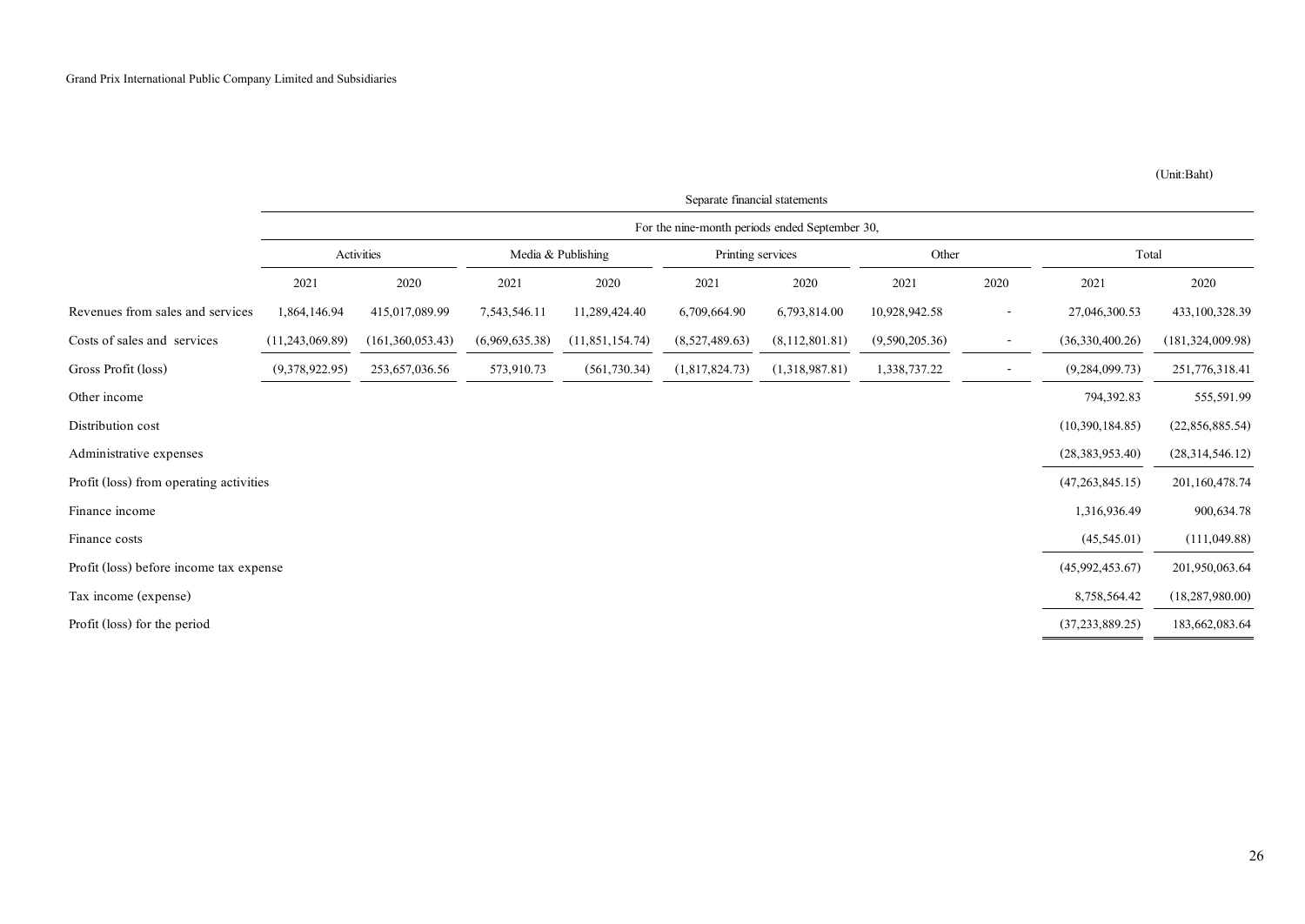|                                         | Separate financial statements                  |                  |                |                    |                   |                  |                |                          |                    |                    |
|-----------------------------------------|------------------------------------------------|------------------|----------------|--------------------|-------------------|------------------|----------------|--------------------------|--------------------|--------------------|
|                                         | For the nine-month periods ended September 30, |                  |                |                    |                   |                  |                |                          |                    |                    |
|                                         |                                                | Activities       |                | Media & Publishing | Printing services |                  | Other          |                          | Total              |                    |
|                                         | 2021                                           | 2020             | 2021           | 2020               | 2021              | 2020             | 2021           | 2020                     | 2021               | 2020               |
| Revenues from sales and services        | 1,864,146.94                                   | 415,017,089.99   | 7,543,546.11   | 11,289,424.40      | 6,709,664.90      | 6,793,814.00     | 10,928,942.58  | $\overline{\phantom{a}}$ | 27,046,300.53      | 433,100,328.39     |
| Costs of sales and services             | (11, 243, 069.89)                              | (161,360,053.43) | (6,969,635.38) | (11, 851, 154.74)  | (8,527,489.63)    | (8, 112, 801.81) | (9,590,205.36) |                          | (36,330,400.26)    | (181, 324, 009.98) |
| Gross Profit (loss)                     | (9,378,922.95)                                 | 253, 657, 036.56 | 573,910.73     | (561, 730.34)      | (1,817,824.73)    | (1,318,987.81)   | 1,338,737.22   | $\overline{\phantom{a}}$ | (9, 284, 099, 73)  | 251,776,318.41     |
| Other income                            |                                                |                  |                |                    |                   |                  |                |                          | 794,392.83         | 555,591.99         |
| Distribution cost                       |                                                |                  |                |                    |                   |                  |                |                          | (10,390,184.85)    | (22,856,885.54)    |
| Administrative expenses                 |                                                |                  |                |                    |                   |                  |                |                          | (28, 383, 953, 40) | (28, 314, 546.12)  |
| Profit (loss) from operating activities |                                                |                  |                |                    |                   |                  |                |                          | (47, 263, 845.15)  | 201,160,478.74     |
| Finance income                          |                                                |                  |                |                    |                   |                  |                |                          | 1,316,936.49       | 900,634.78         |
| Finance costs                           |                                                |                  |                |                    |                   |                  |                |                          | (45,545.01)        | (111, 049.88)      |
| Profit (loss) before income tax expense |                                                |                  |                |                    |                   |                  |                |                          | (45,992,453.67)    | 201,950,063.64     |
| Tax income (expense)                    |                                                |                  |                |                    |                   |                  |                |                          | 8,758,564.42       | (18, 287, 980.00)  |
| Profit (loss) for the period            |                                                |                  |                |                    |                   |                  |                |                          | (37, 233, 889.25)  | 183,662,083.64     |
|                                         |                                                |                  |                |                    |                   |                  |                |                          |                    |                    |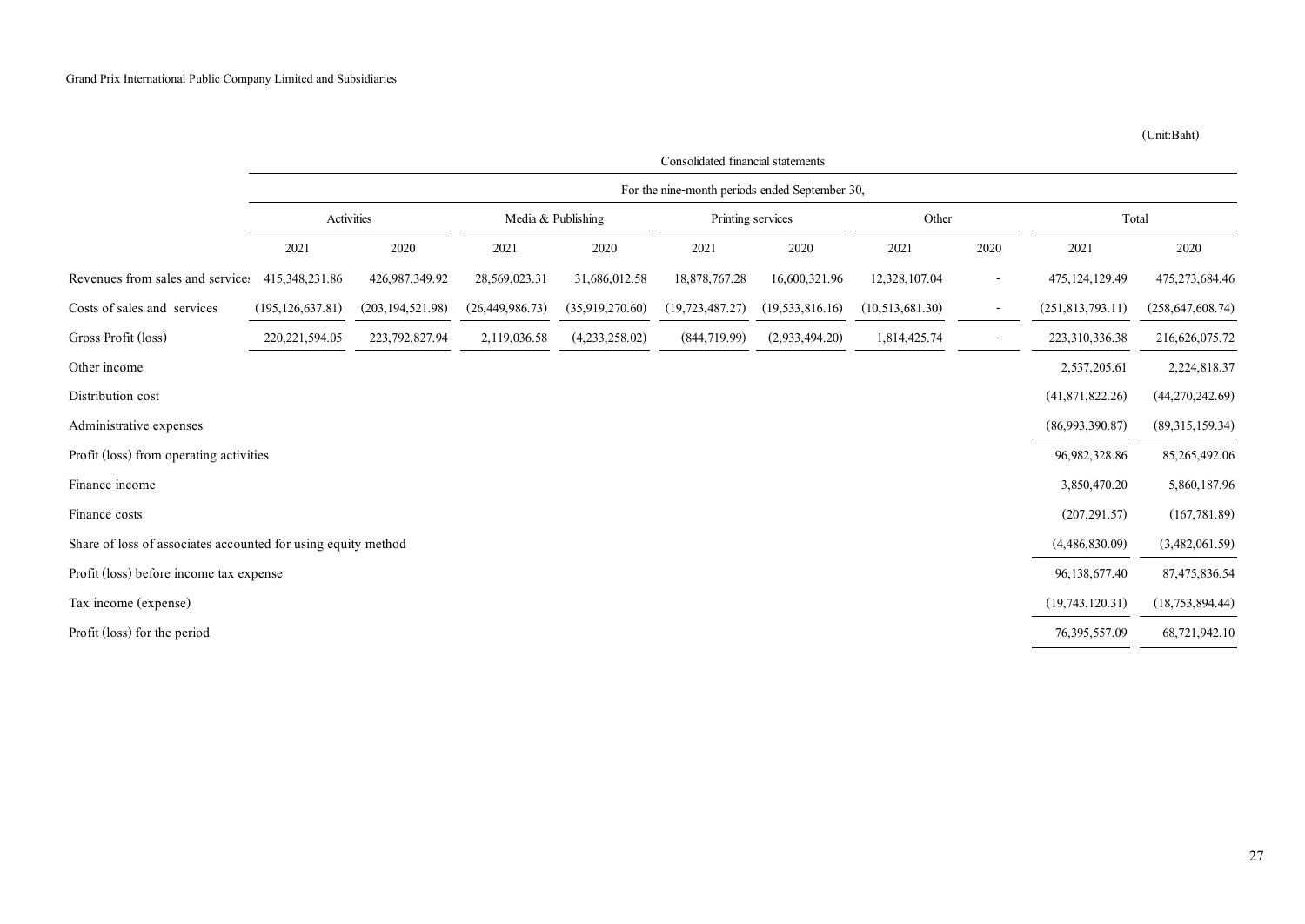|                                                               | Consolidated financial statements              |                    |                    |                 |                    |                    |                 |                          |                    |                    |
|---------------------------------------------------------------|------------------------------------------------|--------------------|--------------------|-----------------|--------------------|--------------------|-----------------|--------------------------|--------------------|--------------------|
|                                                               | For the nine-month periods ended September 30, |                    |                    |                 |                    |                    |                 |                          |                    |                    |
|                                                               | Activities                                     |                    | Media & Publishing |                 | Printing services  |                    | Other           |                          | Total              |                    |
|                                                               | 2021                                           | 2020               | 2021               | 2020            | 2021               | 2020               | 2021            | 2020                     | 2021               | 2020               |
| Revenues from sales and service:                              | 415, 348, 231.86                               | 426,987,349.92     | 28,569,023.31      | 31,686,012.58   | 18,878,767.28      | 16,600,321.96      | 12,328,107.04   | $\overline{\phantom{a}}$ | 475, 124, 129.49   | 475,273,684.46     |
| Costs of sales and services                                   | (195, 126, 637, 81)                            | (203, 194, 521.98) | (26, 449, 986, 73) | (35,919,270.60) | (19, 723, 487, 27) | (19, 533, 816, 16) | (10,513,681.30) | $\overline{\phantom{a}}$ | (251, 813, 793.11) | (258, 647, 608.74) |
| Gross Profit (loss)                                           | 220, 221, 594.05                               | 223, 792, 827. 94  | 2,119,036.58       | (4,233,258.02)  | (844, 719.99)      | (2,933,494,20)     | 1,814,425.74    |                          | 223,310,336.38     | 216,626,075.72     |
| Other income                                                  |                                                |                    |                    |                 |                    |                    |                 |                          | 2,537,205.61       | 2,224,818.37       |
| Distribution cost                                             |                                                |                    |                    |                 |                    |                    |                 |                          | (41,871,822.26)    | (44,270,242.69)    |
| Administrative expenses                                       |                                                |                    |                    |                 |                    |                    |                 |                          | (86,993,390.87)    | (89,315,159.34)    |
| Profit (loss) from operating activities                       |                                                |                    |                    |                 |                    |                    |                 |                          | 96, 982, 328.86    | 85,265,492.06      |
| Finance income                                                |                                                |                    |                    |                 |                    |                    |                 |                          | 3,850,470.20       | 5,860,187.96       |
| Finance costs                                                 |                                                |                    |                    |                 |                    |                    |                 |                          | (207, 291.57)      | (167, 781.89)      |
| Share of loss of associates accounted for using equity method |                                                |                    |                    |                 |                    |                    |                 |                          | (4,486,830.09)     | (3,482,061.59)     |
| Profit (loss) before income tax expense                       |                                                |                    |                    |                 |                    |                    |                 |                          | 96,138,677.40      | 87,475,836.54      |
| Tax income (expense)                                          |                                                |                    |                    |                 |                    |                    |                 |                          | (19,743,120.31)    | (18, 753, 894.44)  |
| Profit (loss) for the period                                  |                                                |                    |                    |                 |                    |                    |                 |                          | 76, 395, 557.09    | 68,721,942.10      |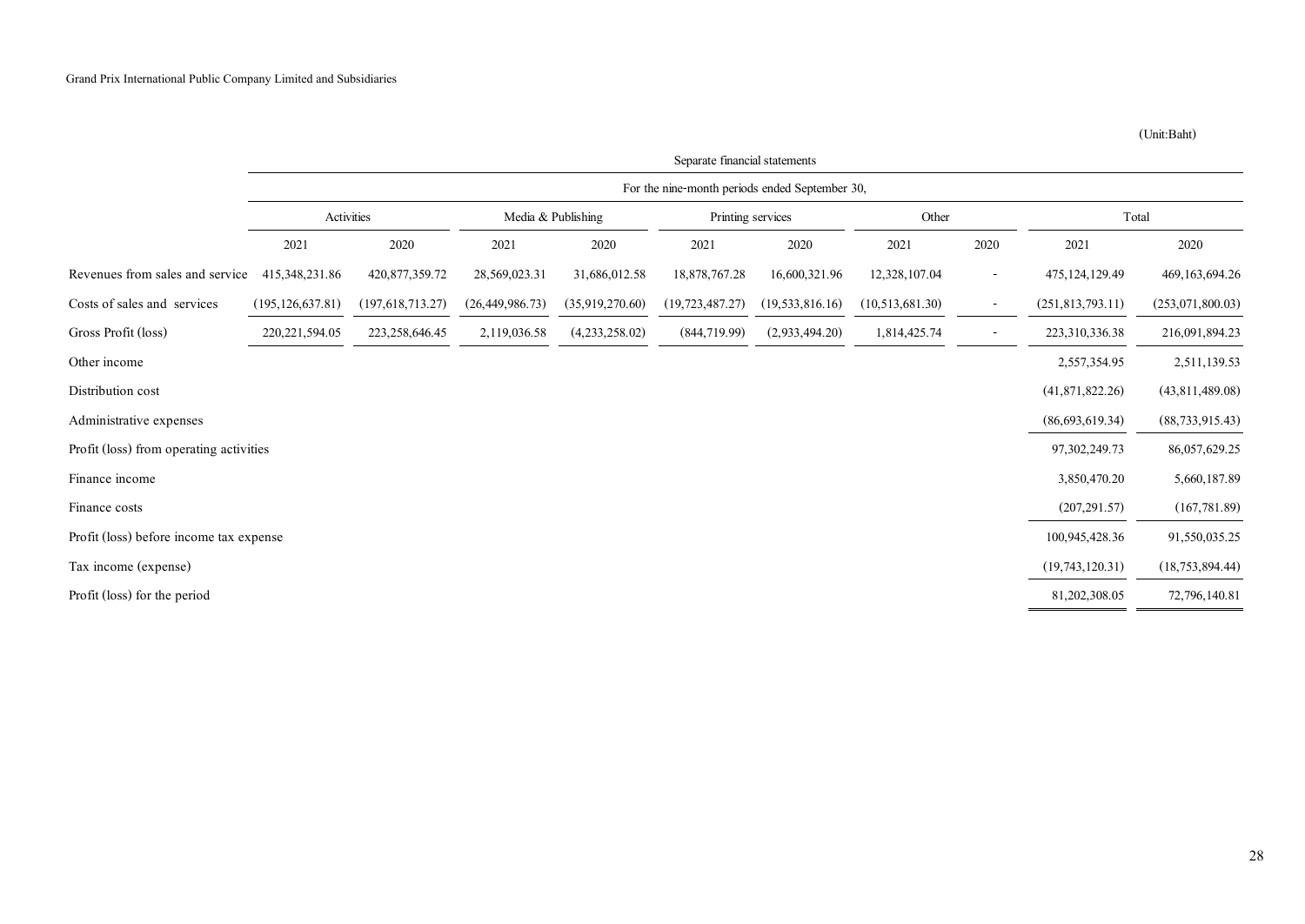|                                         | Separate financial statements                  |                    |                    |                 |                   |                    |                 |                          |                    |                   |
|-----------------------------------------|------------------------------------------------|--------------------|--------------------|-----------------|-------------------|--------------------|-----------------|--------------------------|--------------------|-------------------|
|                                         | For the nine-month periods ended September 30, |                    |                    |                 |                   |                    |                 |                          |                    |                   |
|                                         | Activities                                     |                    | Media & Publishing |                 | Printing services |                    | Other           |                          | Total              |                   |
|                                         | 2021                                           | 2020               | 2021               | 2020            | 2021              | 2020               | 2021            | 2020                     | 2021               | 2020              |
| Revenues from sales and service         | 415, 348, 231, 86                              | 420, 877, 359.72   | 28,569,023.31      | 31,686,012.58   | 18,878,767.28     | 16,600,321.96      | 12,328,107.04   | $\overline{\phantom{a}}$ | 475, 124, 129.49   | 469, 163, 694. 26 |
| Costs of sales and services             | (195, 126, 637.81)                             | (197, 618, 713.27) | (26, 449, 986, 73) | (35,919,270.60) | (19, 723, 487.27) | (19, 533, 816, 16) | (10,513,681.30) | $\overline{\phantom{a}}$ | (251, 813, 793.11) | (253,071,800.03)  |
| Gross Profit (loss)                     | 220, 221, 594. 05                              | 223, 258, 646. 45  | 2,119,036.58       | (4,233,258.02)  | (844, 719.99)     | (2,933,494.20)     | 1,814,425.74    |                          | 223,310,336.38     | 216,091,894.23    |
| Other income                            |                                                |                    |                    |                 |                   |                    |                 |                          | 2,557,354.95       | 2,511,139.53      |
| Distribution cost                       |                                                |                    |                    |                 |                   |                    |                 |                          | (41,871,822.26)    | (43, 811, 489.08) |
| Administrative expenses                 |                                                |                    |                    |                 |                   |                    |                 |                          | (86, 693, 619.34)  | (88, 733, 915.43) |
| Profit (loss) from operating activities |                                                |                    |                    |                 |                   |                    |                 |                          | 97, 302, 249. 73   | 86,057,629.25     |
| Finance income                          |                                                |                    |                    |                 |                   |                    |                 |                          | 3,850,470.20       | 5,660,187.89      |
| Finance costs                           |                                                |                    |                    |                 |                   |                    |                 |                          | (207, 291.57)      | (167, 781.89)     |
| Profit (loss) before income tax expense |                                                |                    |                    |                 |                   |                    |                 |                          | 100,945,428.36     | 91,550,035.25     |
| Tax income (expense)                    |                                                |                    |                    |                 |                   |                    |                 |                          | (19,743,120.31)    | (18, 753, 894.44) |
| Profit (loss) for the period            |                                                |                    |                    |                 |                   |                    |                 |                          | 81,202,308.05      | 72,796,140.81     |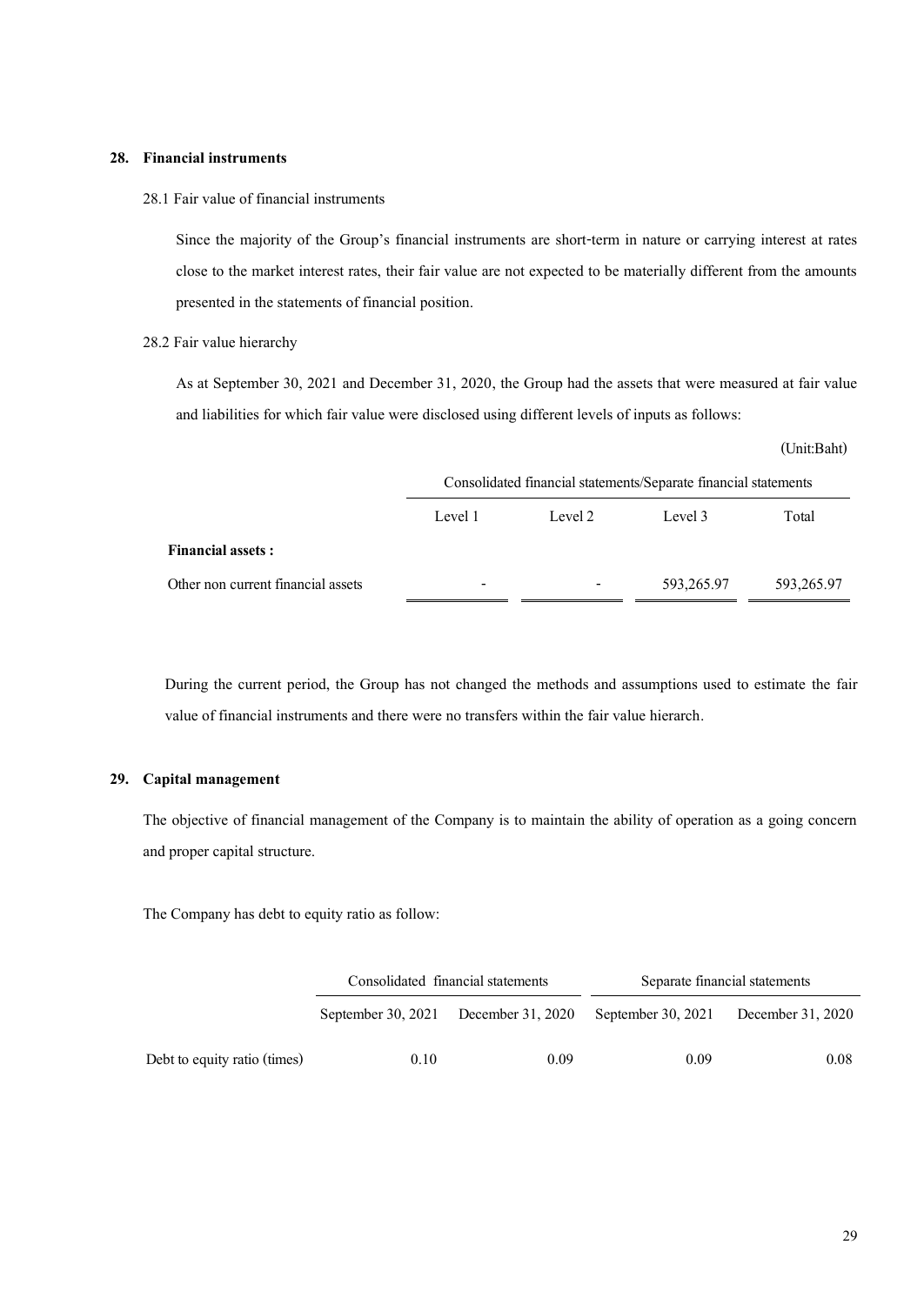### **28. Financial instruments**

28.1 Fair value of financial instruments

Since the majority of the Group's financial instruments are short-term in nature or carrying interest at rates close to the market interest rates, their fair value are not expected to be materially different from the amounts presented in the statements of financial position.

#### 28.2 Fair value hierarchy

As at September 30, 2021 and December 31, 2020, the Group had the assets that were measured at fair value and liabilities for which fair value were disclosed using different levels of inputs as follows:

(Unit:Baht)

|                                    | Consolidated financial statements/Separate financial statements |                          |            |            |  |  |  |  |
|------------------------------------|-----------------------------------------------------------------|--------------------------|------------|------------|--|--|--|--|
|                                    | Level 1                                                         | Level 2                  | Level 3    | Total      |  |  |  |  |
| <b>Financial assets:</b>           |                                                                 |                          |            |            |  |  |  |  |
| Other non current financial assets | $\overline{\phantom{a}}$                                        | $\overline{\phantom{0}}$ | 593,265.97 | 593,265.97 |  |  |  |  |

During the current period, the Group has not changed the methods and assumptions used to estimate the fair value of financial instruments and there were no transfers within the fair value hierarch.

### **29. Capital management**

The objective of financial management of the Company is to maintain the ability of operation as a going concern and proper capital structure.

The Company has debt to equity ratio as follow:

|                              |      | Consolidated financial statements    | Separate financial statements |                   |  |
|------------------------------|------|--------------------------------------|-------------------------------|-------------------|--|
|                              |      | September 30, 2021 December 31, 2020 | September 30, 2021            | December 31, 2020 |  |
| Debt to equity ratio (times) | 0.10 | 0.09                                 | 0.09                          | 0.08              |  |